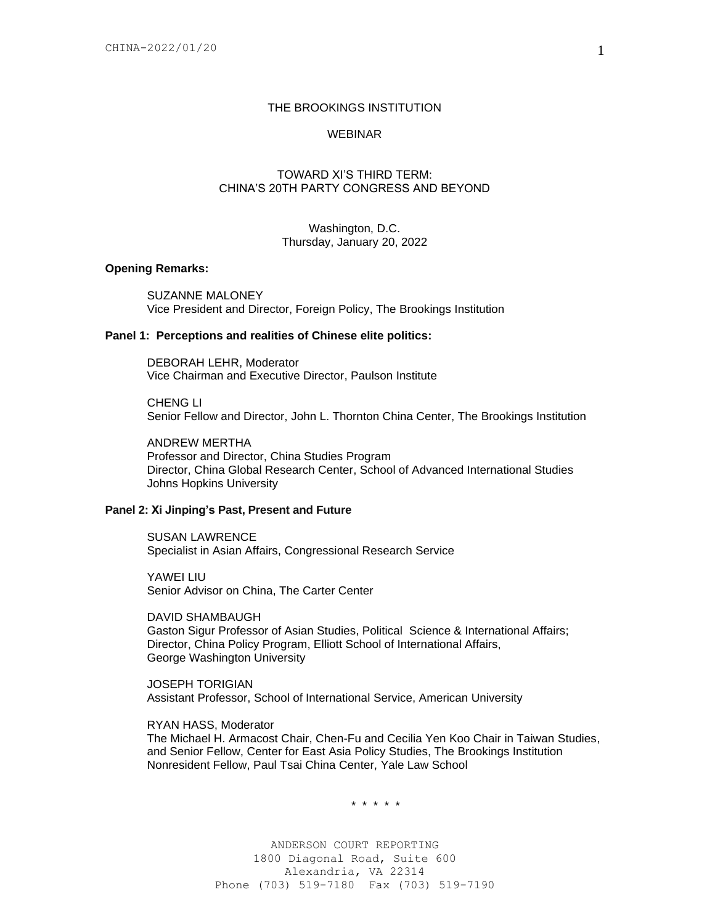## THE BROOKINGS INSTITUTION

# WEBINAR

# TOWARD XI'S THIRD TERM: CHINA'S 20TH PARTY CONGRESS AND BEYOND

Washington, D.C. Thursday, January 20, 2022

## **Opening Remarks:**

SUZANNE MALONEY Vice President and Director, Foreign Policy, The Brookings Institution

### **Panel 1: Perceptions and realities of Chinese elite politics:**

DEBORAH LEHR, Moderator Vice Chairman and Executive Director, Paulson Institute

CHENG LI Senior Fellow and Director, John L. Thornton China Center, The Brookings Institution

ANDREW MERTHA Professor and Director, China Studies Program Director, China Global Research Center, School of Advanced International Studies Johns Hopkins University

#### **Panel 2: Xi Jinping's Past, Present and Future**

SUSAN LAWRENCE Specialist in Asian Affairs, Congressional Research Service

YAWEI LIU Senior Advisor on China, The Carter Center

DAVID SHAMBAUGH Gaston Sigur Professor of Asian Studies, Political Science & International Affairs; Director, China Policy Program, Elliott School of International Affairs, George Washington University

JOSEPH TORIGIAN Assistant Professor, School of International Service, American University

# RYAN HASS, Moderator

The Michael H. Armacost Chair, Chen-Fu and Cecilia Yen Koo Chair in Taiwan Studies, and Senior Fellow, Center for East Asia Policy Studies, The Brookings Institution Nonresident Fellow, Paul Tsai China Center, Yale Law School

\* \* \* \* \*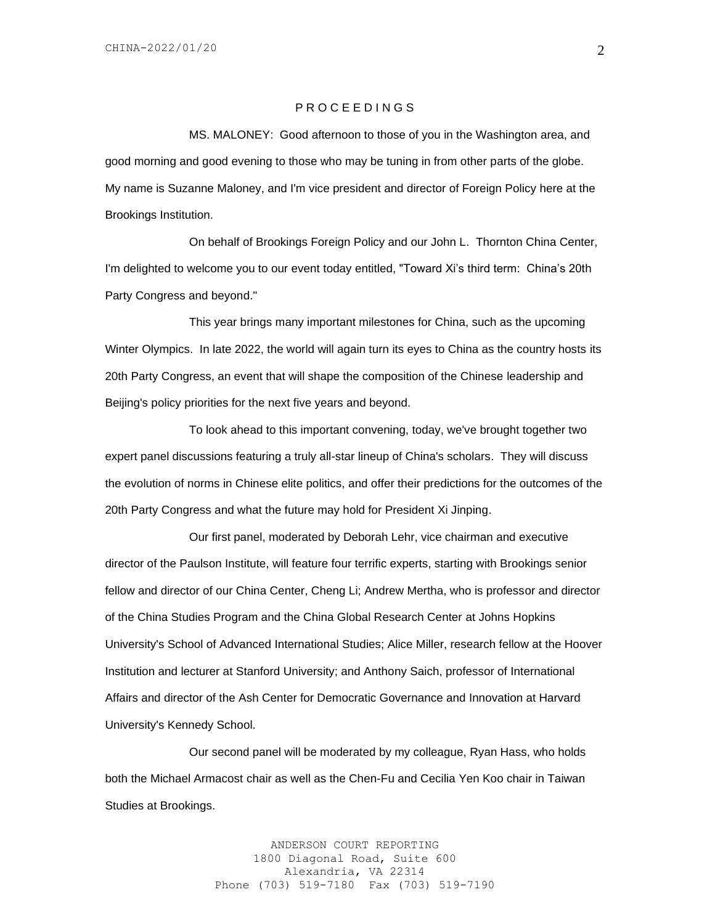## P R O C E E D I N G S

MS. MALONEY: Good afternoon to those of you in the Washington area, and good morning and good evening to those who may be tuning in from other parts of the globe. My name is Suzanne Maloney, and I'm vice president and director of Foreign Policy here at the Brookings Institution.

On behalf of Brookings Foreign Policy and our John L. Thornton China Center, I'm delighted to welcome you to our event today entitled, "Toward Xi's third term: China's 20th Party Congress and beyond."

This year brings many important milestones for China, such as the upcoming Winter Olympics. In late 2022, the world will again turn its eyes to China as the country hosts its 20th Party Congress, an event that will shape the composition of the Chinese leadership and Beijing's policy priorities for the next five years and beyond.

To look ahead to this important convening, today, we've brought together two expert panel discussions featuring a truly all-star lineup of China's scholars. They will discuss the evolution of norms in Chinese elite politics, and offer their predictions for the outcomes of the 20th Party Congress and what the future may hold for President Xi Jinping.

Our first panel, moderated by Deborah Lehr, vice chairman and executive director of the Paulson Institute, will feature four terrific experts, starting with Brookings senior fellow and director of our China Center, Cheng Li; Andrew Mertha, who is professor and director of the China Studies Program and the China Global Research Center at Johns Hopkins University's School of Advanced International Studies; Alice Miller, research fellow at the Hoover Institution and lecturer at Stanford University; and Anthony Saich, professor of International Affairs and director of the Ash Center for Democratic Governance and Innovation at Harvard University's Kennedy School.

Our second panel will be moderated by my colleague, Ryan Hass, who holds both the Michael Armacost chair as well as the Chen-Fu and Cecilia Yen Koo chair in Taiwan Studies at Brookings.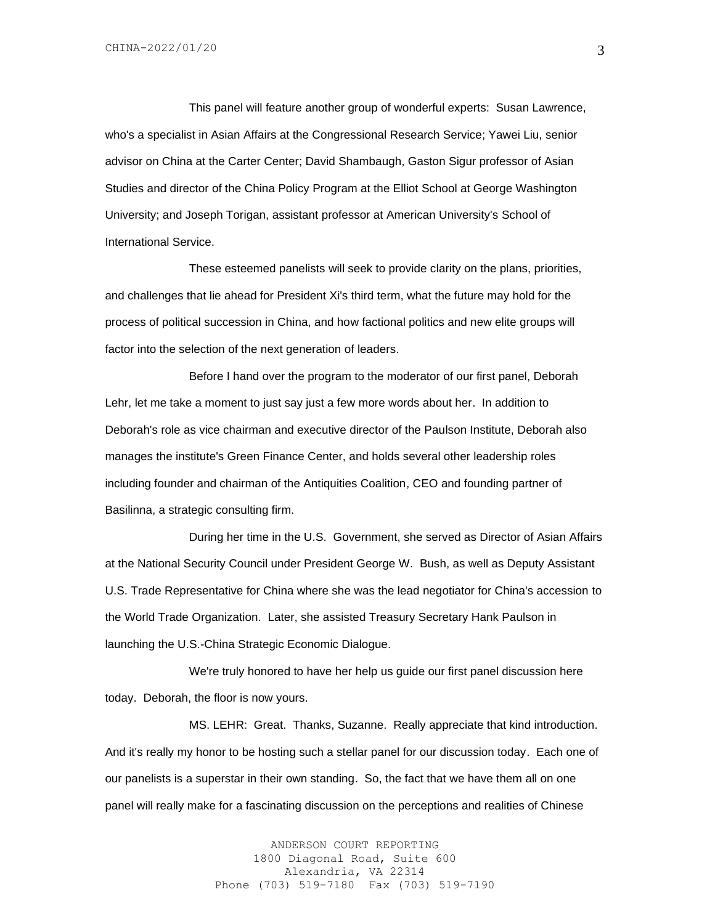This panel will feature another group of wonderful experts: Susan Lawrence, who's a specialist in Asian Affairs at the Congressional Research Service; Yawei Liu, senior advisor on China at the Carter Center; David Shambaugh, Gaston Sigur professor of Asian Studies and director of the China Policy Program at the Elliot School at George Washington University; and Joseph Torigan, assistant professor at American University's School of International Service.

These esteemed panelists will seek to provide clarity on the plans, priorities, and challenges that lie ahead for President Xi's third term, what the future may hold for the process of political succession in China, and how factional politics and new elite groups will factor into the selection of the next generation of leaders.

Before I hand over the program to the moderator of our first panel, Deborah Lehr, let me take a moment to just say just a few more words about her. In addition to Deborah's role as vice chairman and executive director of the Paulson Institute, Deborah also manages the institute's Green Finance Center, and holds several other leadership roles including founder and chairman of the Antiquities Coalition, CEO and founding partner of Basilinna, a strategic consulting firm.

During her time in the U.S. Government, she served as Director of Asian Affairs at the National Security Council under President George W. Bush, as well as Deputy Assistant U.S. Trade Representative for China where she was the lead negotiator for China's accession to the World Trade Organization. Later, she assisted Treasury Secretary Hank Paulson in launching the U.S.-China Strategic Economic Dialogue.

We're truly honored to have her help us guide our first panel discussion here today. Deborah, the floor is now yours.

MS. LEHR: Great. Thanks, Suzanne. Really appreciate that kind introduction. And it's really my honor to be hosting such a stellar panel for our discussion today. Each one of our panelists is a superstar in their own standing. So, the fact that we have them all on one panel will really make for a fascinating discussion on the perceptions and realities of Chinese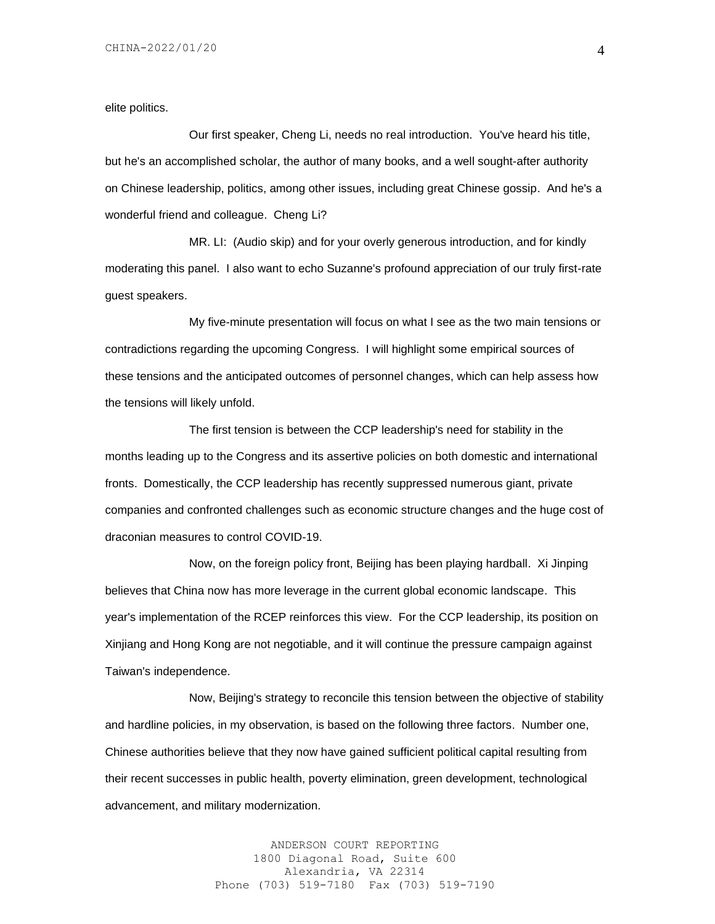elite politics.

Our first speaker, Cheng Li, needs no real introduction. You've heard his title, but he's an accomplished scholar, the author of many books, and a well sought-after authority on Chinese leadership, politics, among other issues, including great Chinese gossip. And he's a wonderful friend and colleague. Cheng Li?

MR. LI: (Audio skip) and for your overly generous introduction, and for kindly moderating this panel. I also want to echo Suzanne's profound appreciation of our truly first-rate guest speakers.

My five-minute presentation will focus on what I see as the two main tensions or contradictions regarding the upcoming Congress. I will highlight some empirical sources of these tensions and the anticipated outcomes of personnel changes, which can help assess how the tensions will likely unfold.

The first tension is between the CCP leadership's need for stability in the months leading up to the Congress and its assertive policies on both domestic and international fronts. Domestically, the CCP leadership has recently suppressed numerous giant, private companies and confronted challenges such as economic structure changes and the huge cost of draconian measures to control COVID-19.

Now, on the foreign policy front, Beijing has been playing hardball. Xi Jinping believes that China now has more leverage in the current global economic landscape. This year's implementation of the RCEP reinforces this view. For the CCP leadership, its position on Xinjiang and Hong Kong are not negotiable, and it will continue the pressure campaign against Taiwan's independence.

Now, Beijing's strategy to reconcile this tension between the objective of stability and hardline policies, in my observation, is based on the following three factors. Number one, Chinese authorities believe that they now have gained sufficient political capital resulting from their recent successes in public health, poverty elimination, green development, technological advancement, and military modernization.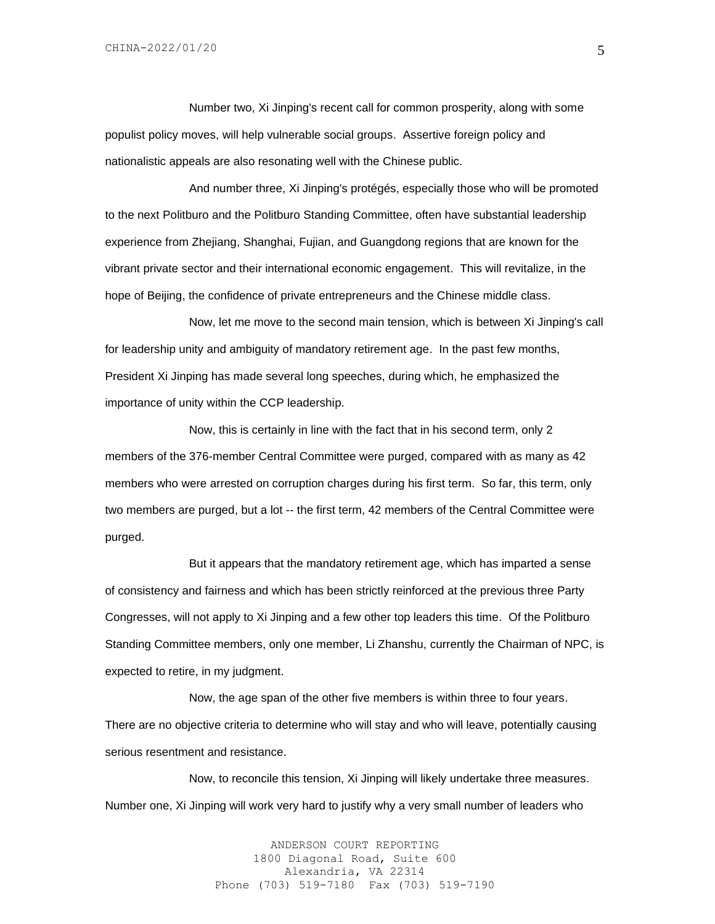Number two, Xi Jinping's recent call for common prosperity, along with some populist policy moves, will help vulnerable social groups. Assertive foreign policy and nationalistic appeals are also resonating well with the Chinese public.

And number three, Xi Jinping's protégés, especially those who will be promoted to the next Politburo and the Politburo Standing Committee, often have substantial leadership experience from Zhejiang, Shanghai, Fujian, and Guangdong regions that are known for the vibrant private sector and their international economic engagement. This will revitalize, in the hope of Beijing, the confidence of private entrepreneurs and the Chinese middle class.

Now, let me move to the second main tension, which is between Xi Jinping's call for leadership unity and ambiguity of mandatory retirement age. In the past few months, President Xi Jinping has made several long speeches, during which, he emphasized the importance of unity within the CCP leadership.

Now, this is certainly in line with the fact that in his second term, only 2 members of the 376-member Central Committee were purged, compared with as many as 42 members who were arrested on corruption charges during his first term. So far, this term, only two members are purged, but a lot -- the first term, 42 members of the Central Committee were purged.

But it appears that the mandatory retirement age, which has imparted a sense of consistency and fairness and which has been strictly reinforced at the previous three Party Congresses, will not apply to Xi Jinping and a few other top leaders this time. Of the Politburo Standing Committee members, only one member, Li Zhanshu, currently the Chairman of NPC, is expected to retire, in my judgment.

Now, the age span of the other five members is within three to four years. There are no objective criteria to determine who will stay and who will leave, potentially causing serious resentment and resistance.

Now, to reconcile this tension, Xi Jinping will likely undertake three measures. Number one, Xi Jinping will work very hard to justify why a very small number of leaders who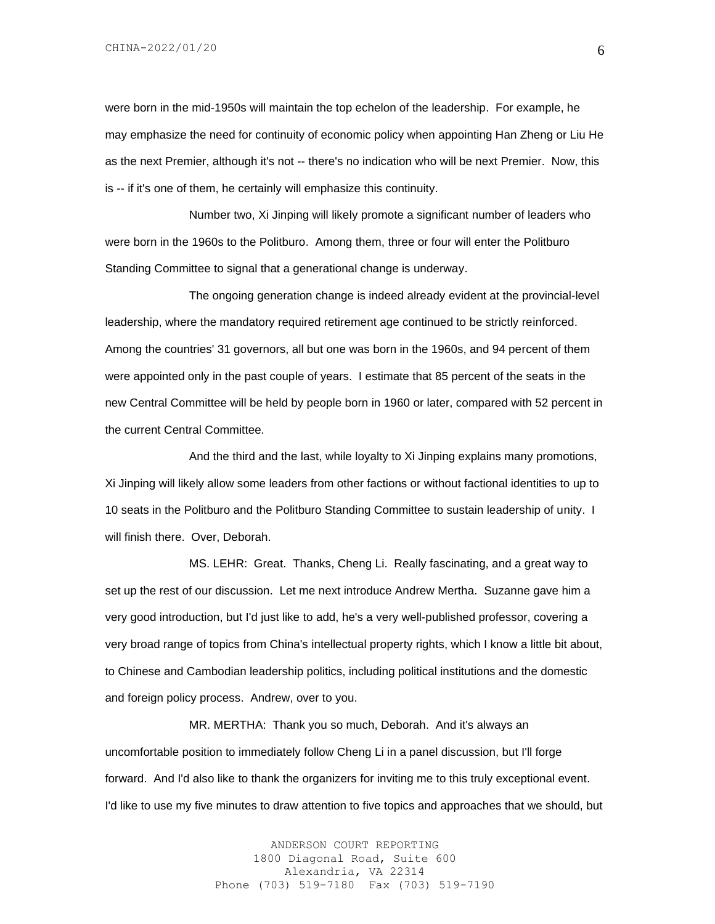were born in the mid-1950s will maintain the top echelon of the leadership. For example, he may emphasize the need for continuity of economic policy when appointing Han Zheng or Liu He as the next Premier, although it's not -- there's no indication who will be next Premier. Now, this is -- if it's one of them, he certainly will emphasize this continuity.

Number two, Xi Jinping will likely promote a significant number of leaders who were born in the 1960s to the Politburo. Among them, three or four will enter the Politburo Standing Committee to signal that a generational change is underway.

The ongoing generation change is indeed already evident at the provincial-level leadership, where the mandatory required retirement age continued to be strictly reinforced. Among the countries' 31 governors, all but one was born in the 1960s, and 94 percent of them were appointed only in the past couple of years. I estimate that 85 percent of the seats in the new Central Committee will be held by people born in 1960 or later, compared with 52 percent in the current Central Committee.

And the third and the last, while loyalty to Xi Jinping explains many promotions, Xi Jinping will likely allow some leaders from other factions or without factional identities to up to 10 seats in the Politburo and the Politburo Standing Committee to sustain leadership of unity. I will finish there. Over, Deborah.

MS. LEHR: Great. Thanks, Cheng Li. Really fascinating, and a great way to set up the rest of our discussion. Let me next introduce Andrew Mertha. Suzanne gave him a very good introduction, but I'd just like to add, he's a very well-published professor, covering a very broad range of topics from China's intellectual property rights, which I know a little bit about, to Chinese and Cambodian leadership politics, including political institutions and the domestic and foreign policy process. Andrew, over to you.

MR. MERTHA: Thank you so much, Deborah. And it's always an uncomfortable position to immediately follow Cheng Li in a panel discussion, but I'll forge forward. And I'd also like to thank the organizers for inviting me to this truly exceptional event. I'd like to use my five minutes to draw attention to five topics and approaches that we should, but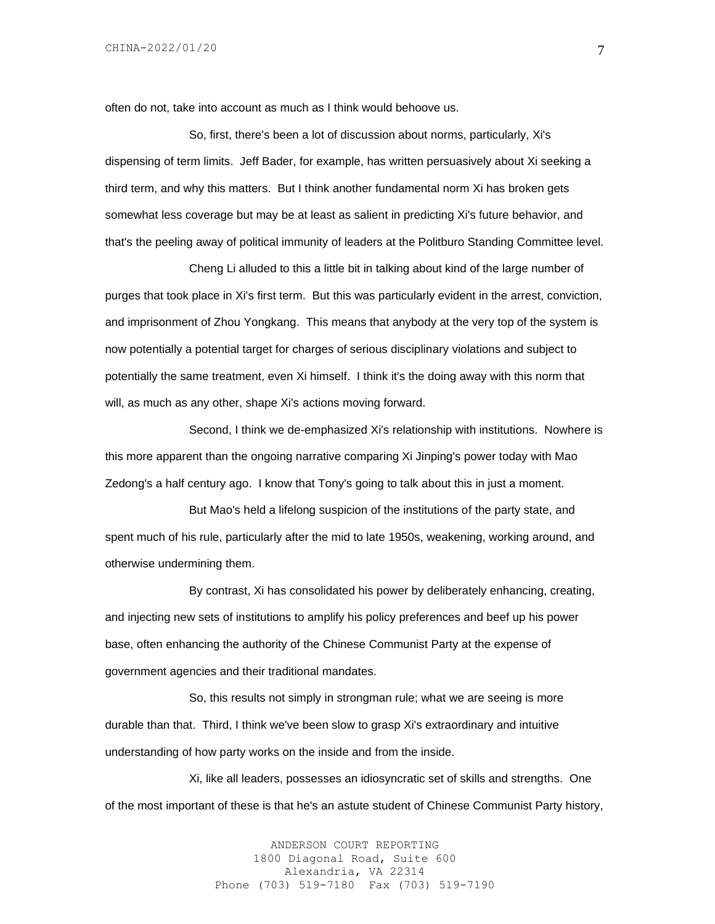often do not, take into account as much as I think would behoove us.

So, first, there's been a lot of discussion about norms, particularly, Xi's dispensing of term limits. Jeff Bader, for example, has written persuasively about Xi seeking a third term, and why this matters. But I think another fundamental norm Xi has broken gets somewhat less coverage but may be at least as salient in predicting Xi's future behavior, and that's the peeling away of political immunity of leaders at the Politburo Standing Committee level.

Cheng Li alluded to this a little bit in talking about kind of the large number of purges that took place in Xi's first term. But this was particularly evident in the arrest, conviction, and imprisonment of Zhou Yongkang. This means that anybody at the very top of the system is now potentially a potential target for charges of serious disciplinary violations and subject to potentially the same treatment, even Xi himself. I think it's the doing away with this norm that will, as much as any other, shape Xi's actions moving forward.

Second, I think we de-emphasized Xi's relationship with institutions. Nowhere is this more apparent than the ongoing narrative comparing Xi Jinping's power today with Mao Zedong's a half century ago. I know that Tony's going to talk about this in just a moment.

But Mao's held a lifelong suspicion of the institutions of the party state, and spent much of his rule, particularly after the mid to late 1950s, weakening, working around, and otherwise undermining them.

By contrast, Xi has consolidated his power by deliberately enhancing, creating, and injecting new sets of institutions to amplify his policy preferences and beef up his power base, often enhancing the authority of the Chinese Communist Party at the expense of government agencies and their traditional mandates.

So, this results not simply in strongman rule; what we are seeing is more durable than that. Third, I think we've been slow to grasp Xi's extraordinary and intuitive understanding of how party works on the inside and from the inside.

Xi, like all leaders, possesses an idiosyncratic set of skills and strengths. One of the most important of these is that he's an astute student of Chinese Communist Party history,

> ANDERSON COURT REPORTING 1800 Diagonal Road, Suite 600 Alexandria, VA 22314 Phone (703) 519-7180 Fax (703) 519-7190

7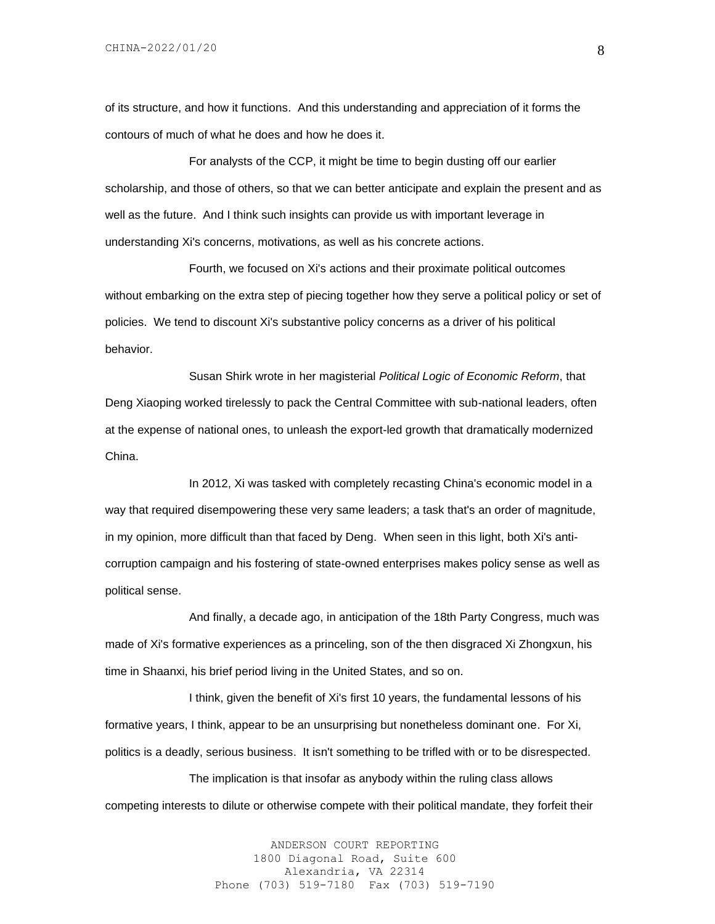of its structure, and how it functions. And this understanding and appreciation of it forms the contours of much of what he does and how he does it.

For analysts of the CCP, it might be time to begin dusting off our earlier scholarship, and those of others, so that we can better anticipate and explain the present and as well as the future. And I think such insights can provide us with important leverage in understanding Xi's concerns, motivations, as well as his concrete actions.

Fourth, we focused on Xi's actions and their proximate political outcomes without embarking on the extra step of piecing together how they serve a political policy or set of policies. We tend to discount Xi's substantive policy concerns as a driver of his political behavior.

Susan Shirk wrote in her magisterial *Political Logic of Economic Reform*, that Deng Xiaoping worked tirelessly to pack the Central Committee with sub-national leaders, often at the expense of national ones, to unleash the export-led growth that dramatically modernized China.

In 2012, Xi was tasked with completely recasting China's economic model in a way that required disempowering these very same leaders; a task that's an order of magnitude, in my opinion, more difficult than that faced by Deng. When seen in this light, both Xi's anticorruption campaign and his fostering of state-owned enterprises makes policy sense as well as political sense.

And finally, a decade ago, in anticipation of the 18th Party Congress, much was made of Xi's formative experiences as a princeling, son of the then disgraced Xi Zhongxun, his time in Shaanxi, his brief period living in the United States, and so on.

I think, given the benefit of Xi's first 10 years, the fundamental lessons of his formative years, I think, appear to be an unsurprising but nonetheless dominant one. For Xi, politics is a deadly, serious business. It isn't something to be trifled with or to be disrespected.

The implication is that insofar as anybody within the ruling class allows competing interests to dilute or otherwise compete with their political mandate, they forfeit their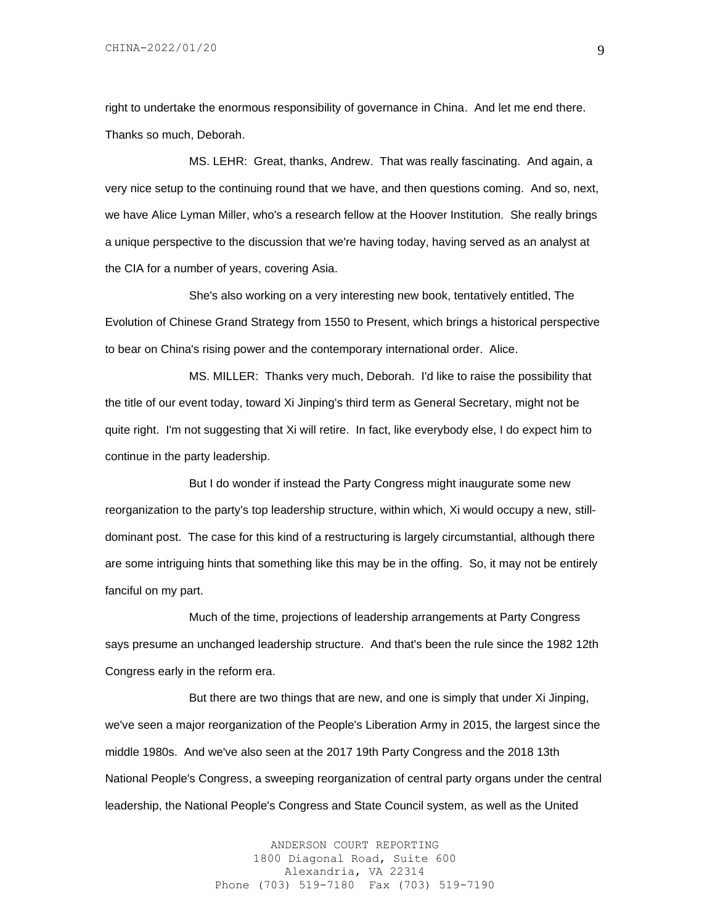right to undertake the enormous responsibility of governance in China. And let me end there. Thanks so much, Deborah.

MS. LEHR: Great, thanks, Andrew. That was really fascinating. And again, a very nice setup to the continuing round that we have, and then questions coming. And so, next, we have Alice Lyman Miller, who's a research fellow at the Hoover Institution. She really brings a unique perspective to the discussion that we're having today, having served as an analyst at the CIA for a number of years, covering Asia.

She's also working on a very interesting new book, tentatively entitled, The Evolution of Chinese Grand Strategy from 1550 to Present, which brings a historical perspective to bear on China's rising power and the contemporary international order. Alice.

MS. MILLER: Thanks very much, Deborah. I'd like to raise the possibility that the title of our event today, toward Xi Jinping's third term as General Secretary, might not be quite right. I'm not suggesting that Xi will retire. In fact, like everybody else, I do expect him to continue in the party leadership.

But I do wonder if instead the Party Congress might inaugurate some new reorganization to the party's top leadership structure, within which, Xi would occupy a new, stilldominant post. The case for this kind of a restructuring is largely circumstantial, although there are some intriguing hints that something like this may be in the offing. So, it may not be entirely fanciful on my part.

Much of the time, projections of leadership arrangements at Party Congress says presume an unchanged leadership structure. And that's been the rule since the 1982 12th Congress early in the reform era.

But there are two things that are new, and one is simply that under Xi Jinping, we've seen a major reorganization of the People's Liberation Army in 2015, the largest since the middle 1980s. And we've also seen at the 2017 19th Party Congress and the 2018 13th National People's Congress, a sweeping reorganization of central party organs under the central leadership, the National People's Congress and State Council system, as well as the United

> ANDERSON COURT REPORTING 1800 Diagonal Road, Suite 600 Alexandria, VA 22314 Phone (703) 519-7180 Fax (703) 519-7190

9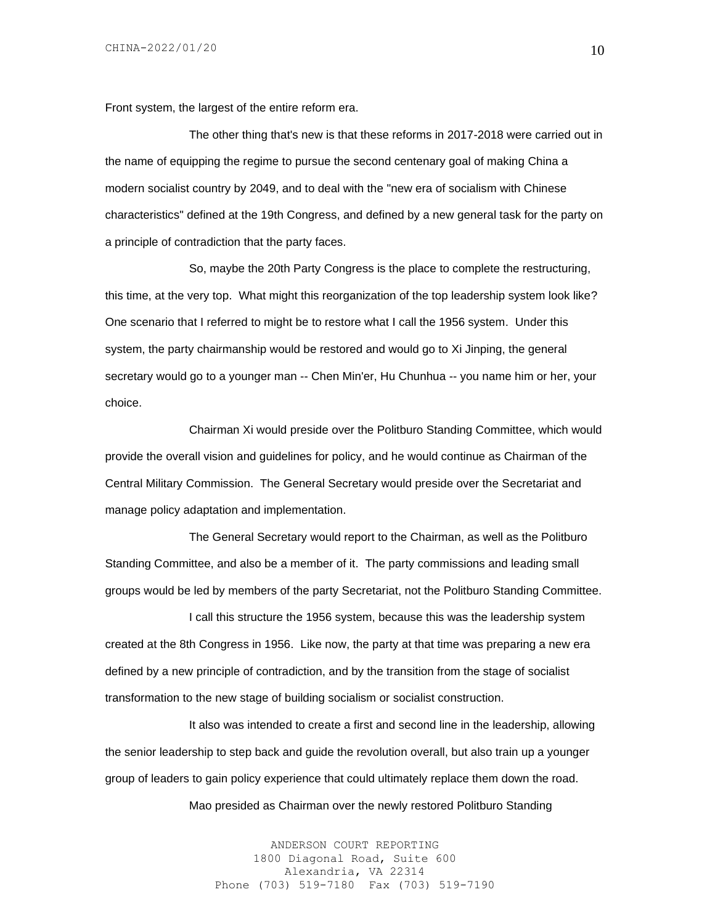Front system, the largest of the entire reform era.

The other thing that's new is that these reforms in 2017-2018 were carried out in the name of equipping the regime to pursue the second centenary goal of making China a modern socialist country by 2049, and to deal with the "new era of socialism with Chinese characteristics" defined at the 19th Congress, and defined by a new general task for the party on a principle of contradiction that the party faces.

So, maybe the 20th Party Congress is the place to complete the restructuring, this time, at the very top. What might this reorganization of the top leadership system look like? One scenario that I referred to might be to restore what I call the 1956 system. Under this system, the party chairmanship would be restored and would go to Xi Jinping, the general secretary would go to a younger man -- Chen Min'er, Hu Chunhua -- you name him or her, your choice.

Chairman Xi would preside over the Politburo Standing Committee, which would provide the overall vision and guidelines for policy, and he would continue as Chairman of the Central Military Commission. The General Secretary would preside over the Secretariat and manage policy adaptation and implementation.

The General Secretary would report to the Chairman, as well as the Politburo Standing Committee, and also be a member of it. The party commissions and leading small groups would be led by members of the party Secretariat, not the Politburo Standing Committee.

I call this structure the 1956 system, because this was the leadership system created at the 8th Congress in 1956. Like now, the party at that time was preparing a new era defined by a new principle of contradiction, and by the transition from the stage of socialist transformation to the new stage of building socialism or socialist construction.

It also was intended to create a first and second line in the leadership, allowing the senior leadership to step back and guide the revolution overall, but also train up a younger group of leaders to gain policy experience that could ultimately replace them down the road.

Mao presided as Chairman over the newly restored Politburo Standing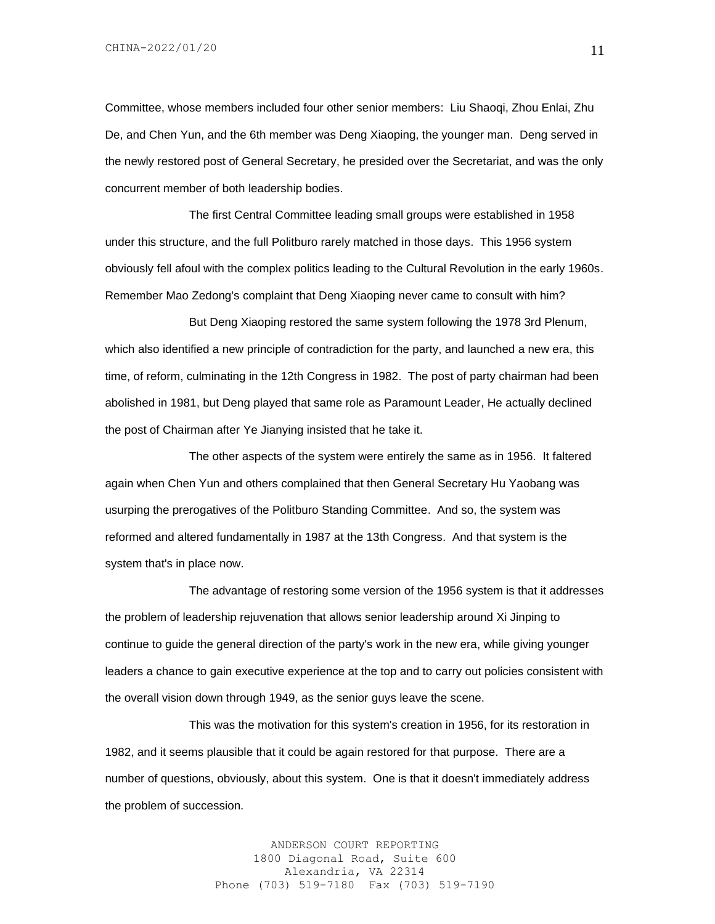Committee, whose members included four other senior members: Liu Shaoqi, Zhou Enlai, Zhu De, and Chen Yun, and the 6th member was Deng Xiaoping, the younger man. Deng served in the newly restored post of General Secretary, he presided over the Secretariat, and was the only concurrent member of both leadership bodies.

The first Central Committee leading small groups were established in 1958 under this structure, and the full Politburo rarely matched in those days. This 1956 system obviously fell afoul with the complex politics leading to the Cultural Revolution in the early 1960s. Remember Mao Zedong's complaint that Deng Xiaoping never came to consult with him?

But Deng Xiaoping restored the same system following the 1978 3rd Plenum, which also identified a new principle of contradiction for the party, and launched a new era, this time, of reform, culminating in the 12th Congress in 1982. The post of party chairman had been abolished in 1981, but Deng played that same role as Paramount Leader, He actually declined the post of Chairman after Ye Jianying insisted that he take it.

The other aspects of the system were entirely the same as in 1956. It faltered again when Chen Yun and others complained that then General Secretary Hu Yaobang was usurping the prerogatives of the Politburo Standing Committee. And so, the system was reformed and altered fundamentally in 1987 at the 13th Congress. And that system is the system that's in place now.

The advantage of restoring some version of the 1956 system is that it addresses the problem of leadership rejuvenation that allows senior leadership around Xi Jinping to continue to guide the general direction of the party's work in the new era, while giving younger leaders a chance to gain executive experience at the top and to carry out policies consistent with the overall vision down through 1949, as the senior guys leave the scene.

This was the motivation for this system's creation in 1956, for its restoration in 1982, and it seems plausible that it could be again restored for that purpose. There are a number of questions, obviously, about this system. One is that it doesn't immediately address the problem of succession.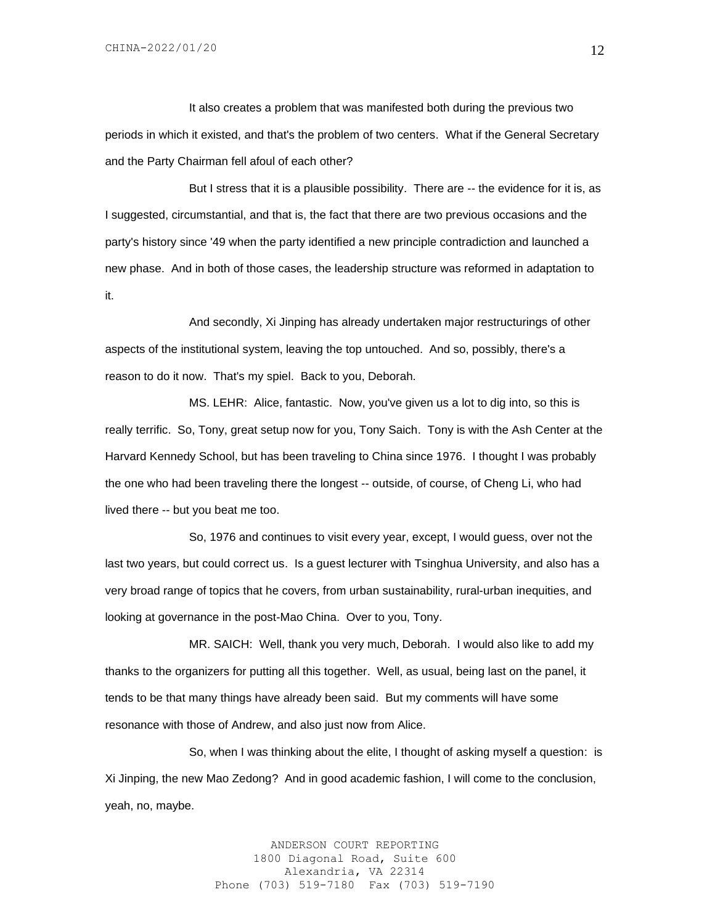It also creates a problem that was manifested both during the previous two periods in which it existed, and that's the problem of two centers. What if the General Secretary and the Party Chairman fell afoul of each other?

But I stress that it is a plausible possibility. There are -- the evidence for it is, as I suggested, circumstantial, and that is, the fact that there are two previous occasions and the party's history since '49 when the party identified a new principle contradiction and launched a new phase. And in both of those cases, the leadership structure was reformed in adaptation to it.

And secondly, Xi Jinping has already undertaken major restructurings of other aspects of the institutional system, leaving the top untouched. And so, possibly, there's a reason to do it now. That's my spiel. Back to you, Deborah.

MS. LEHR: Alice, fantastic. Now, you've given us a lot to dig into, so this is really terrific. So, Tony, great setup now for you, Tony Saich. Tony is with the Ash Center at the Harvard Kennedy School, but has been traveling to China since 1976. I thought I was probably the one who had been traveling there the longest -- outside, of course, of Cheng Li, who had lived there -- but you beat me too.

So, 1976 and continues to visit every year, except, I would guess, over not the last two years, but could correct us. Is a guest lecturer with Tsinghua University, and also has a very broad range of topics that he covers, from urban sustainability, rural-urban inequities, and looking at governance in the post-Mao China. Over to you, Tony.

MR. SAICH: Well, thank you very much, Deborah. I would also like to add my thanks to the organizers for putting all this together. Well, as usual, being last on the panel, it tends to be that many things have already been said. But my comments will have some resonance with those of Andrew, and also just now from Alice.

So, when I was thinking about the elite, I thought of asking myself a question: is Xi Jinping, the new Mao Zedong? And in good academic fashion, I will come to the conclusion, yeah, no, maybe.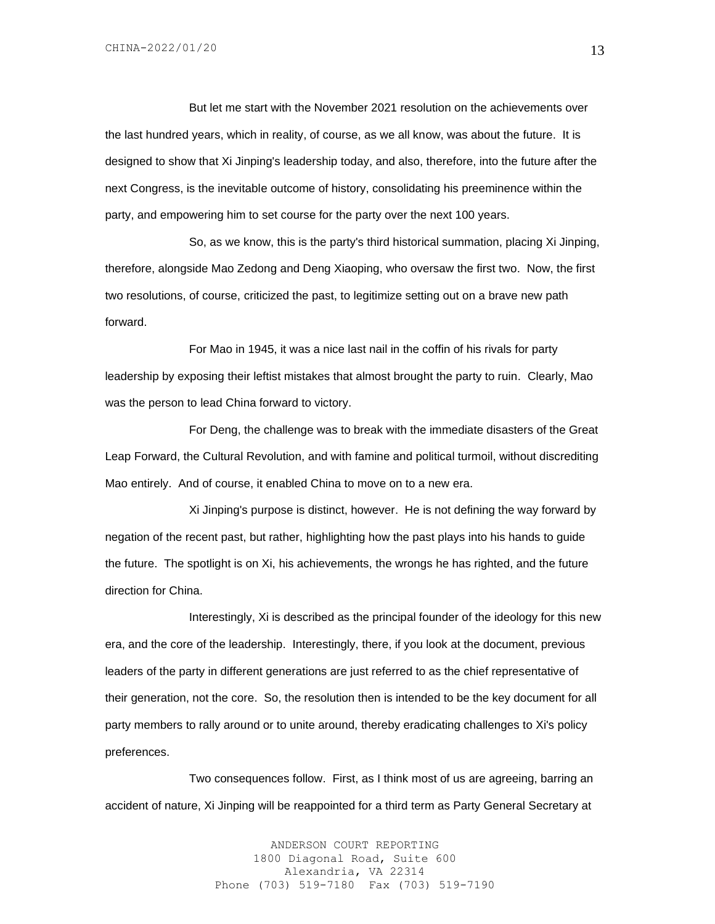But let me start with the November 2021 resolution on the achievements over the last hundred years, which in reality, of course, as we all know, was about the future. It is designed to show that Xi Jinping's leadership today, and also, therefore, into the future after the next Congress, is the inevitable outcome of history, consolidating his preeminence within the party, and empowering him to set course for the party over the next 100 years.

So, as we know, this is the party's third historical summation, placing Xi Jinping, therefore, alongside Mao Zedong and Deng Xiaoping, who oversaw the first two. Now, the first two resolutions, of course, criticized the past, to legitimize setting out on a brave new path forward.

For Mao in 1945, it was a nice last nail in the coffin of his rivals for party leadership by exposing their leftist mistakes that almost brought the party to ruin. Clearly, Mao was the person to lead China forward to victory.

For Deng, the challenge was to break with the immediate disasters of the Great Leap Forward, the Cultural Revolution, and with famine and political turmoil, without discrediting Mao entirely. And of course, it enabled China to move on to a new era.

Xi Jinping's purpose is distinct, however. He is not defining the way forward by negation of the recent past, but rather, highlighting how the past plays into his hands to guide the future. The spotlight is on Xi, his achievements, the wrongs he has righted, and the future direction for China.

Interestingly, Xi is described as the principal founder of the ideology for this new era, and the core of the leadership. Interestingly, there, if you look at the document, previous leaders of the party in different generations are just referred to as the chief representative of their generation, not the core. So, the resolution then is intended to be the key document for all party members to rally around or to unite around, thereby eradicating challenges to Xi's policy preferences.

Two consequences follow. First, as I think most of us are agreeing, barring an accident of nature, Xi Jinping will be reappointed for a third term as Party General Secretary at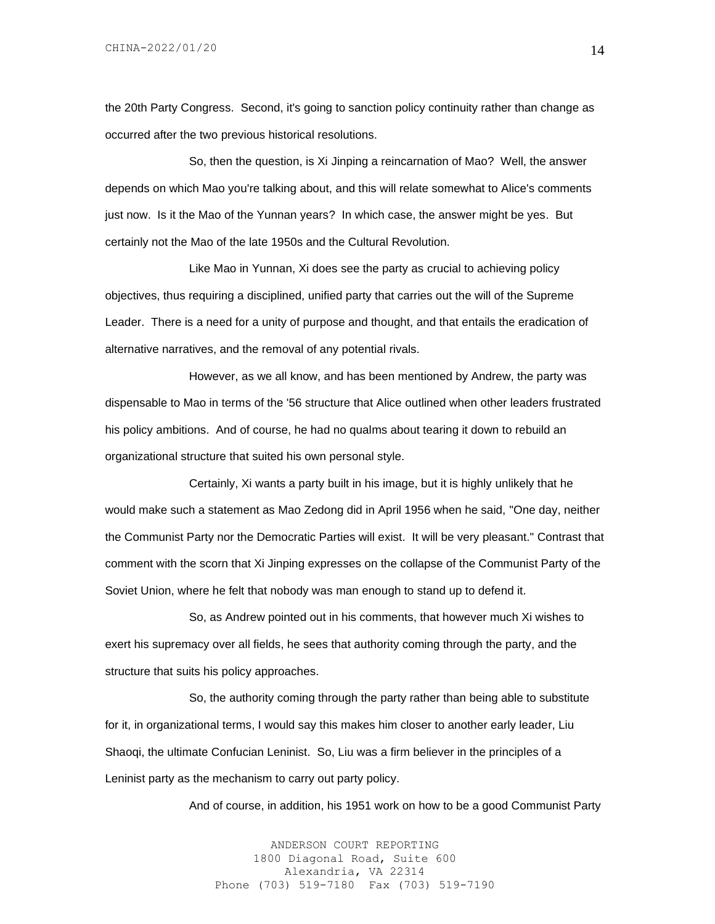the 20th Party Congress. Second, it's going to sanction policy continuity rather than change as occurred after the two previous historical resolutions.

So, then the question, is Xi Jinping a reincarnation of Mao? Well, the answer depends on which Mao you're talking about, and this will relate somewhat to Alice's comments just now. Is it the Mao of the Yunnan years? In which case, the answer might be yes. But certainly not the Mao of the late 1950s and the Cultural Revolution.

Like Mao in Yunnan, Xi does see the party as crucial to achieving policy objectives, thus requiring a disciplined, unified party that carries out the will of the Supreme Leader. There is a need for a unity of purpose and thought, and that entails the eradication of alternative narratives, and the removal of any potential rivals.

However, as we all know, and has been mentioned by Andrew, the party was dispensable to Mao in terms of the '56 structure that Alice outlined when other leaders frustrated his policy ambitions. And of course, he had no qualms about tearing it down to rebuild an organizational structure that suited his own personal style.

Certainly, Xi wants a party built in his image, but it is highly unlikely that he would make such a statement as Mao Zedong did in April 1956 when he said, "One day, neither the Communist Party nor the Democratic Parties will exist. It will be very pleasant." Contrast that comment with the scorn that Xi Jinping expresses on the collapse of the Communist Party of the Soviet Union, where he felt that nobody was man enough to stand up to defend it.

So, as Andrew pointed out in his comments, that however much Xi wishes to exert his supremacy over all fields, he sees that authority coming through the party, and the structure that suits his policy approaches.

So, the authority coming through the party rather than being able to substitute for it, in organizational terms, I would say this makes him closer to another early leader, Liu Shaoqi, the ultimate Confucian Leninist. So, Liu was a firm believer in the principles of a Leninist party as the mechanism to carry out party policy.

And of course, in addition, his 1951 work on how to be a good Communist Party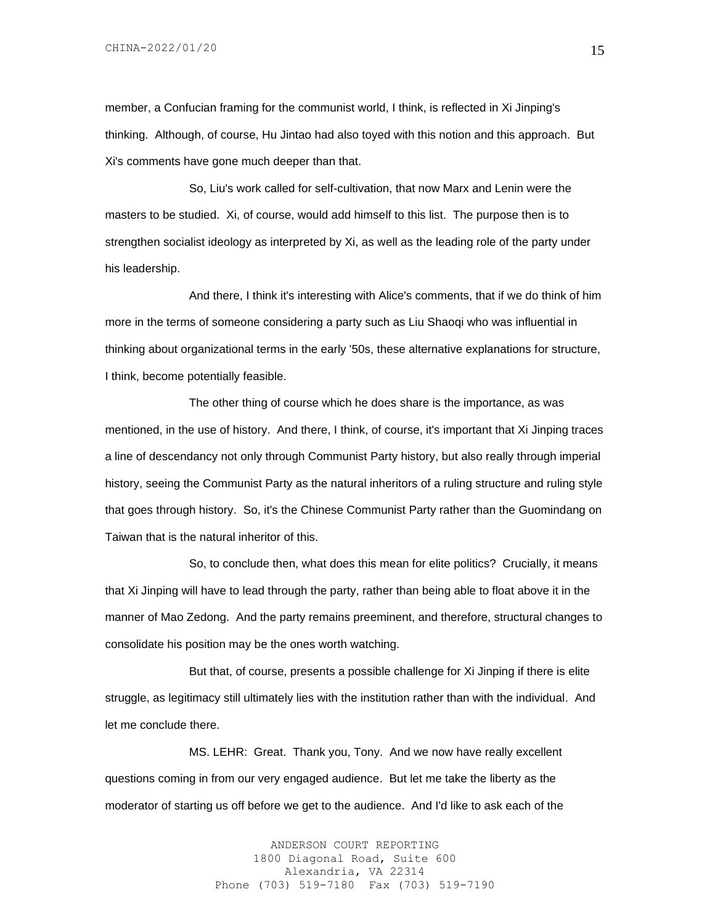member, a Confucian framing for the communist world, I think, is reflected in Xi Jinping's thinking. Although, of course, Hu Jintao had also toyed with this notion and this approach. But Xi's comments have gone much deeper than that.

So, Liu's work called for self-cultivation, that now Marx and Lenin were the masters to be studied. Xi, of course, would add himself to this list. The purpose then is to strengthen socialist ideology as interpreted by Xi, as well as the leading role of the party under his leadership.

And there, I think it's interesting with Alice's comments, that if we do think of him more in the terms of someone considering a party such as Liu Shaoqi who was influential in thinking about organizational terms in the early '50s, these alternative explanations for structure, I think, become potentially feasible.

The other thing of course which he does share is the importance, as was mentioned, in the use of history. And there, I think, of course, it's important that Xi Jinping traces a line of descendancy not only through Communist Party history, but also really through imperial history, seeing the Communist Party as the natural inheritors of a ruling structure and ruling style that goes through history. So, it's the Chinese Communist Party rather than the Guomindang on Taiwan that is the natural inheritor of this.

So, to conclude then, what does this mean for elite politics? Crucially, it means that Xi Jinping will have to lead through the party, rather than being able to float above it in the manner of Mao Zedong. And the party remains preeminent, and therefore, structural changes to consolidate his position may be the ones worth watching.

But that, of course, presents a possible challenge for Xi Jinping if there is elite struggle, as legitimacy still ultimately lies with the institution rather than with the individual. And let me conclude there.

MS. LEHR: Great. Thank you, Tony. And we now have really excellent questions coming in from our very engaged audience. But let me take the liberty as the moderator of starting us off before we get to the audience. And I'd like to ask each of the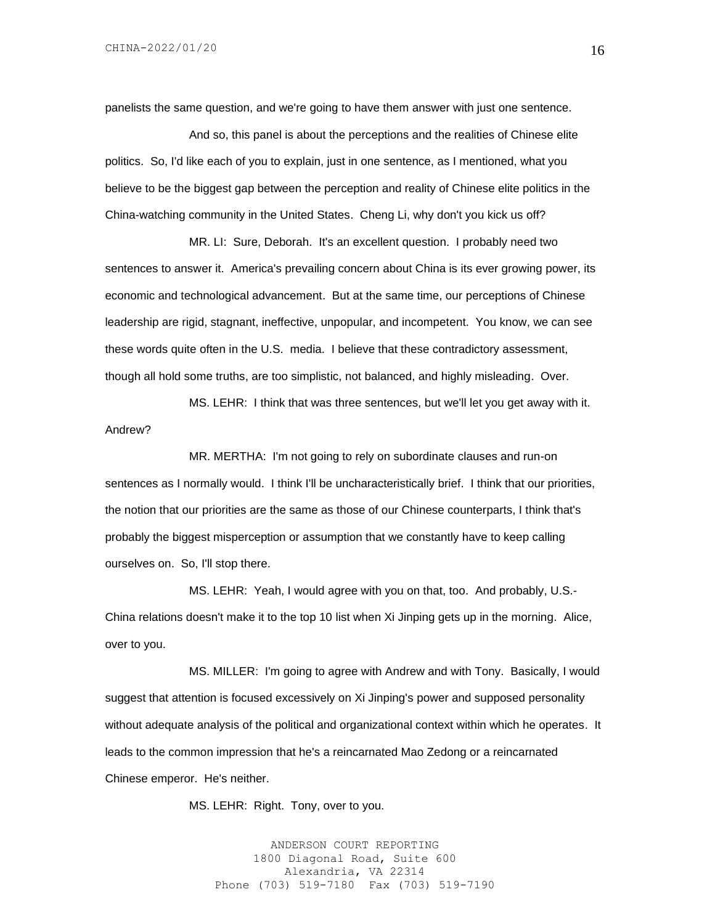panelists the same question, and we're going to have them answer with just one sentence.

And so, this panel is about the perceptions and the realities of Chinese elite politics. So, I'd like each of you to explain, just in one sentence, as I mentioned, what you believe to be the biggest gap between the perception and reality of Chinese elite politics in the China-watching community in the United States. Cheng Li, why don't you kick us off?

MR. LI: Sure, Deborah. It's an excellent question. I probably need two sentences to answer it. America's prevailing concern about China is its ever growing power, its economic and technological advancement. But at the same time, our perceptions of Chinese leadership are rigid, stagnant, ineffective, unpopular, and incompetent. You know, we can see these words quite often in the U.S. media. I believe that these contradictory assessment, though all hold some truths, are too simplistic, not balanced, and highly misleading. Over.

MS. LEHR: I think that was three sentences, but we'll let you get away with it. Andrew?

MR. MERTHA: I'm not going to rely on subordinate clauses and run-on sentences as I normally would. I think I'll be uncharacteristically brief. I think that our priorities, the notion that our priorities are the same as those of our Chinese counterparts, I think that's probably the biggest misperception or assumption that we constantly have to keep calling ourselves on. So, I'll stop there.

MS. LEHR: Yeah, I would agree with you on that, too. And probably, U.S.- China relations doesn't make it to the top 10 list when Xi Jinping gets up in the morning. Alice, over to you.

MS. MILLER: I'm going to agree with Andrew and with Tony. Basically, I would suggest that attention is focused excessively on Xi Jinping's power and supposed personality without adequate analysis of the political and organizational context within which he operates. It leads to the common impression that he's a reincarnated Mao Zedong or a reincarnated Chinese emperor. He's neither.

MS. LEHR: Right. Tony, over to you.

ANDERSON COURT REPORTING 1800 Diagonal Road, Suite 600 Alexandria, VA 22314 Phone (703) 519-7180 Fax (703) 519-7190 16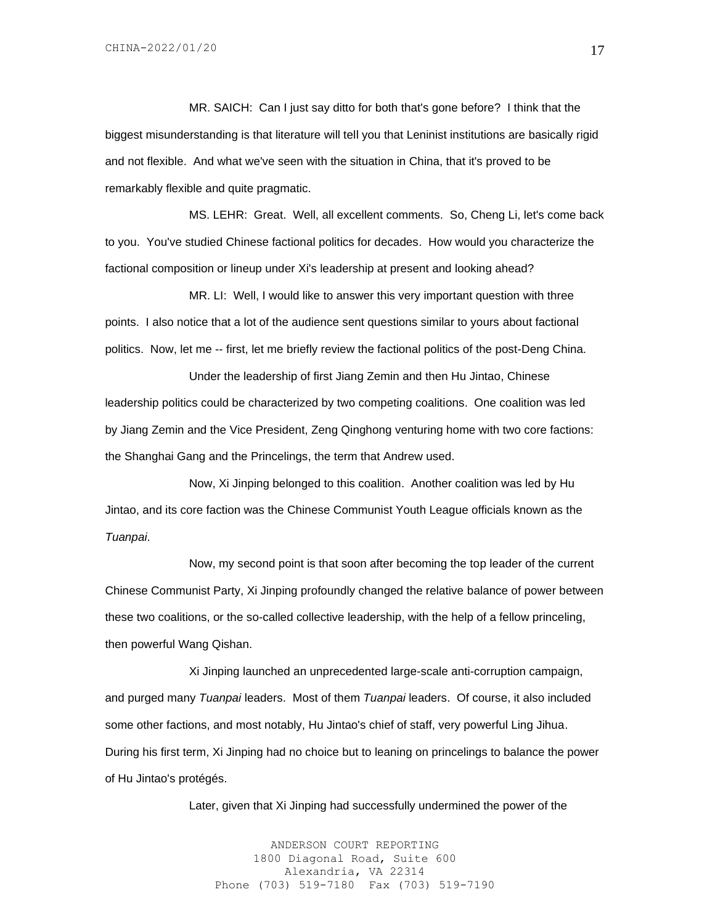MR. SAICH: Can I just say ditto for both that's gone before? I think that the biggest misunderstanding is that literature will tell you that Leninist institutions are basically rigid and not flexible. And what we've seen with the situation in China, that it's proved to be remarkably flexible and quite pragmatic.

MS. LEHR: Great. Well, all excellent comments. So, Cheng Li, let's come back to you. You've studied Chinese factional politics for decades. How would you characterize the factional composition or lineup under Xi's leadership at present and looking ahead?

MR. LI: Well, I would like to answer this very important question with three points. I also notice that a lot of the audience sent questions similar to yours about factional politics. Now, let me -- first, let me briefly review the factional politics of the post-Deng China.

Under the leadership of first Jiang Zemin and then Hu Jintao, Chinese leadership politics could be characterized by two competing coalitions. One coalition was led by Jiang Zemin and the Vice President, Zeng Qinghong venturing home with two core factions: the Shanghai Gang and the Princelings, the term that Andrew used.

Now, Xi Jinping belonged to this coalition. Another coalition was led by Hu Jintao, and its core faction was the Chinese Communist Youth League officials known as the *Tuanpai*.

Now, my second point is that soon after becoming the top leader of the current Chinese Communist Party, Xi Jinping profoundly changed the relative balance of power between these two coalitions, or the so-called collective leadership, with the help of a fellow princeling, then powerful Wang Qishan.

Xi Jinping launched an unprecedented large-scale anti-corruption campaign, and purged many *Tuanpai* leaders. Most of them *Tuanpai* leaders. Of course, it also included some other factions, and most notably, Hu Jintao's chief of staff, very powerful Ling Jihua. During his first term, Xi Jinping had no choice but to leaning on princelings to balance the power of Hu Jintao's protégés.

Later, given that Xi Jinping had successfully undermined the power of the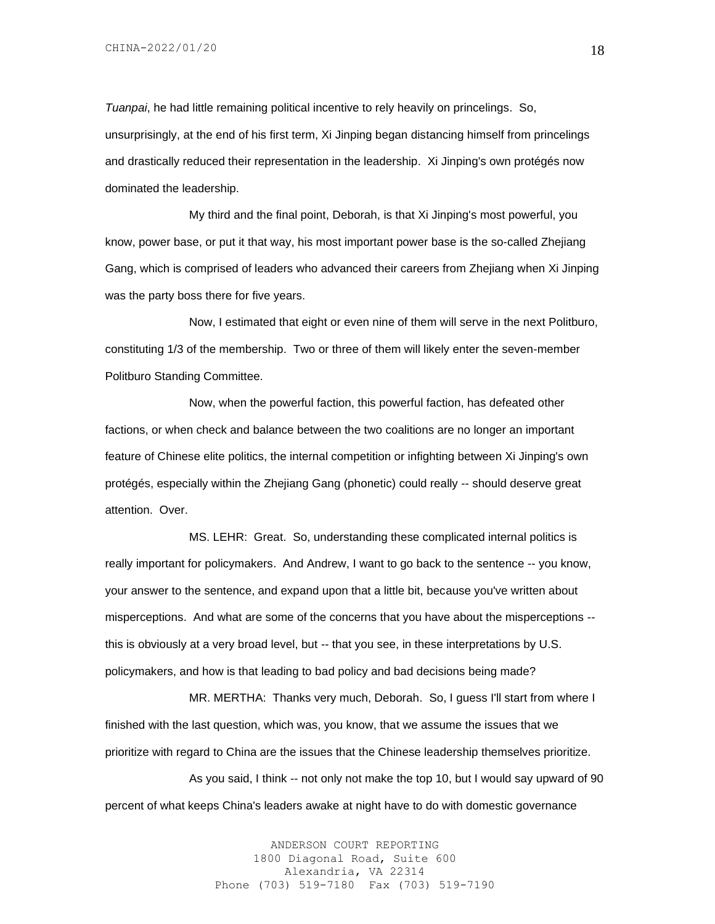*Tuanpai*, he had little remaining political incentive to rely heavily on princelings. So, unsurprisingly, at the end of his first term, Xi Jinping began distancing himself from princelings and drastically reduced their representation in the leadership. Xi Jinping's own protégés now dominated the leadership.

My third and the final point, Deborah, is that Xi Jinping's most powerful, you know, power base, or put it that way, his most important power base is the so-called Zhejiang Gang, which is comprised of leaders who advanced their careers from Zhejiang when Xi Jinping was the party boss there for five years.

Now, I estimated that eight or even nine of them will serve in the next Politburo, constituting 1/3 of the membership. Two or three of them will likely enter the seven-member Politburo Standing Committee.

Now, when the powerful faction, this powerful faction, has defeated other factions, or when check and balance between the two coalitions are no longer an important feature of Chinese elite politics, the internal competition or infighting between Xi Jinping's own protégés, especially within the Zhejiang Gang (phonetic) could really -- should deserve great attention. Over.

MS. LEHR: Great. So, understanding these complicated internal politics is really important for policymakers. And Andrew, I want to go back to the sentence -- you know, your answer to the sentence, and expand upon that a little bit, because you've written about misperceptions. And what are some of the concerns that you have about the misperceptions - this is obviously at a very broad level, but -- that you see, in these interpretations by U.S. policymakers, and how is that leading to bad policy and bad decisions being made?

MR. MERTHA: Thanks very much, Deborah. So, I guess I'll start from where I finished with the last question, which was, you know, that we assume the issues that we prioritize with regard to China are the issues that the Chinese leadership themselves prioritize.

As you said, I think -- not only not make the top 10, but I would say upward of 90 percent of what keeps China's leaders awake at night have to do with domestic governance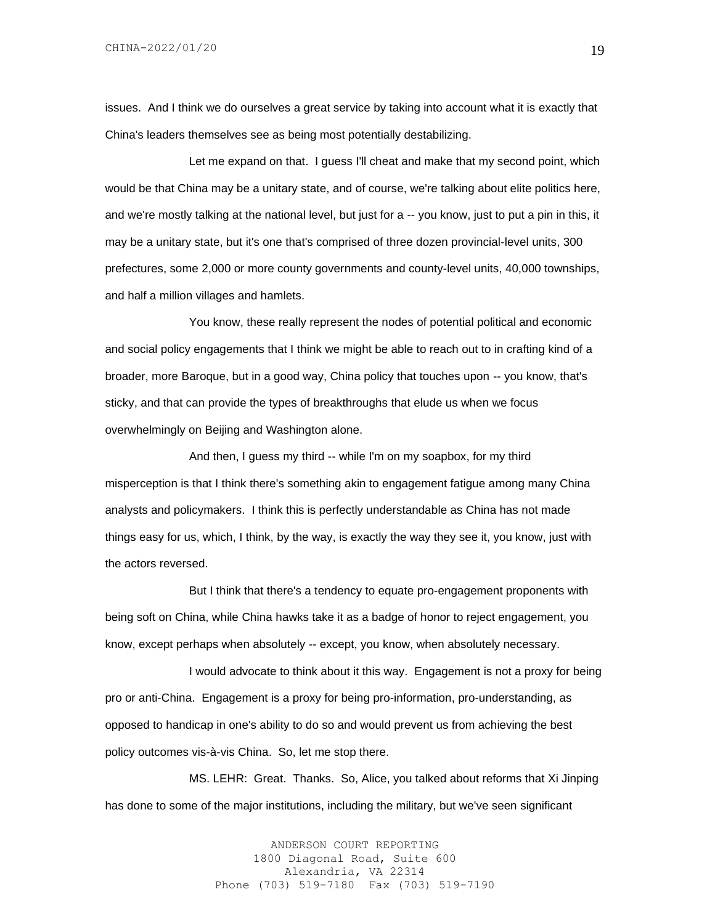issues. And I think we do ourselves a great service by taking into account what it is exactly that China's leaders themselves see as being most potentially destabilizing.

Let me expand on that. I guess I'll cheat and make that my second point, which would be that China may be a unitary state, and of course, we're talking about elite politics here, and we're mostly talking at the national level, but just for a -- you know, just to put a pin in this, it may be a unitary state, but it's one that's comprised of three dozen provincial-level units, 300 prefectures, some 2,000 or more county governments and county-level units, 40,000 townships, and half a million villages and hamlets.

You know, these really represent the nodes of potential political and economic and social policy engagements that I think we might be able to reach out to in crafting kind of a broader, more Baroque, but in a good way, China policy that touches upon -- you know, that's sticky, and that can provide the types of breakthroughs that elude us when we focus overwhelmingly on Beijing and Washington alone.

And then, I guess my third -- while I'm on my soapbox, for my third misperception is that I think there's something akin to engagement fatigue among many China analysts and policymakers. I think this is perfectly understandable as China has not made things easy for us, which, I think, by the way, is exactly the way they see it, you know, just with the actors reversed.

But I think that there's a tendency to equate pro-engagement proponents with being soft on China, while China hawks take it as a badge of honor to reject engagement, you know, except perhaps when absolutely -- except, you know, when absolutely necessary.

I would advocate to think about it this way. Engagement is not a proxy for being pro or anti-China. Engagement is a proxy for being pro-information, pro-understanding, as opposed to handicap in one's ability to do so and would prevent us from achieving the best policy outcomes vis-à-vis China. So, let me stop there.

MS. LEHR: Great. Thanks. So, Alice, you talked about reforms that Xi Jinping has done to some of the major institutions, including the military, but we've seen significant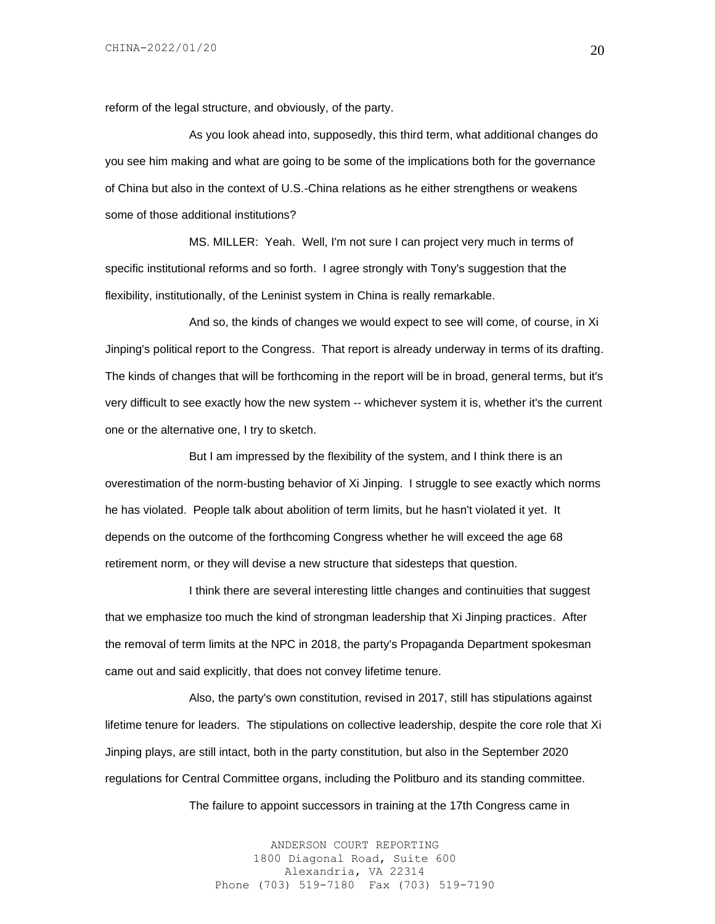reform of the legal structure, and obviously, of the party.

As you look ahead into, supposedly, this third term, what additional changes do you see him making and what are going to be some of the implications both for the governance of China but also in the context of U.S.-China relations as he either strengthens or weakens some of those additional institutions?

MS. MILLER: Yeah. Well, I'm not sure I can project very much in terms of specific institutional reforms and so forth. I agree strongly with Tony's suggestion that the flexibility, institutionally, of the Leninist system in China is really remarkable.

And so, the kinds of changes we would expect to see will come, of course, in Xi Jinping's political report to the Congress. That report is already underway in terms of its drafting. The kinds of changes that will be forthcoming in the report will be in broad, general terms, but it's very difficult to see exactly how the new system -- whichever system it is, whether it's the current one or the alternative one, I try to sketch.

But I am impressed by the flexibility of the system, and I think there is an overestimation of the norm-busting behavior of Xi Jinping. I struggle to see exactly which norms he has violated. People talk about abolition of term limits, but he hasn't violated it yet. It depends on the outcome of the forthcoming Congress whether he will exceed the age 68 retirement norm, or they will devise a new structure that sidesteps that question.

I think there are several interesting little changes and continuities that suggest that we emphasize too much the kind of strongman leadership that Xi Jinping practices. After the removal of term limits at the NPC in 2018, the party's Propaganda Department spokesman came out and said explicitly, that does not convey lifetime tenure.

Also, the party's own constitution, revised in 2017, still has stipulations against lifetime tenure for leaders. The stipulations on collective leadership, despite the core role that Xi Jinping plays, are still intact, both in the party constitution, but also in the September 2020 regulations for Central Committee organs, including the Politburo and its standing committee.

The failure to appoint successors in training at the 17th Congress came in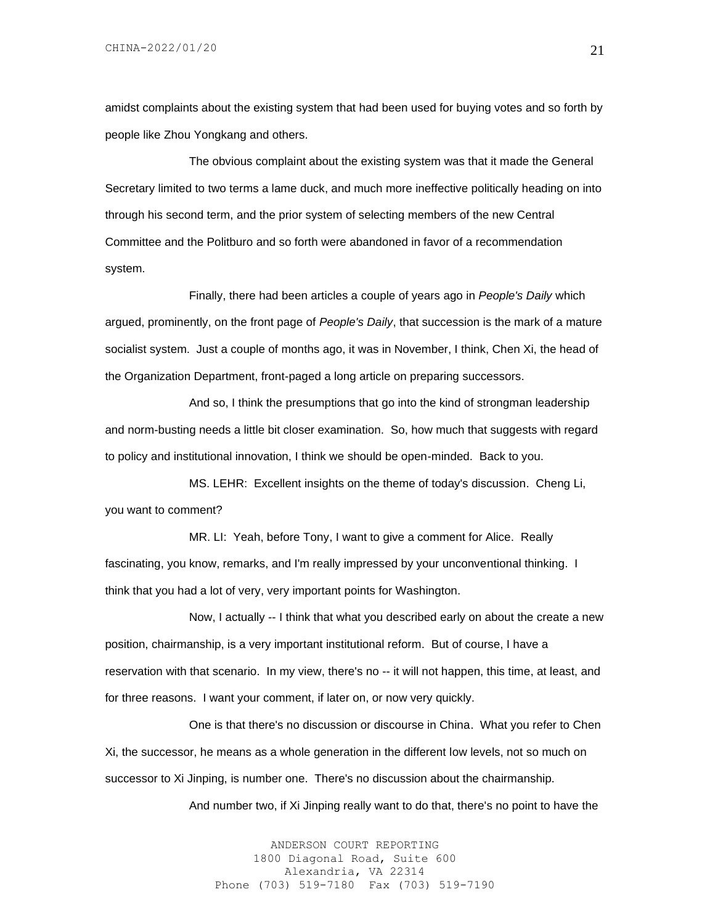amidst complaints about the existing system that had been used for buying votes and so forth by people like Zhou Yongkang and others.

The obvious complaint about the existing system was that it made the General Secretary limited to two terms a lame duck, and much more ineffective politically heading on into through his second term, and the prior system of selecting members of the new Central Committee and the Politburo and so forth were abandoned in favor of a recommendation system.

Finally, there had been articles a couple of years ago in *People's Daily* which argued, prominently, on the front page of *People's Daily*, that succession is the mark of a mature socialist system. Just a couple of months ago, it was in November, I think, Chen Xi, the head of the Organization Department, front-paged a long article on preparing successors.

And so, I think the presumptions that go into the kind of strongman leadership and norm-busting needs a little bit closer examination. So, how much that suggests with regard to policy and institutional innovation, I think we should be open-minded. Back to you.

MS. LEHR: Excellent insights on the theme of today's discussion. Cheng Li, you want to comment?

MR. LI: Yeah, before Tony, I want to give a comment for Alice. Really fascinating, you know, remarks, and I'm really impressed by your unconventional thinking. I think that you had a lot of very, very important points for Washington.

Now, I actually -- I think that what you described early on about the create a new position, chairmanship, is a very important institutional reform. But of course, I have a reservation with that scenario. In my view, there's no -- it will not happen, this time, at least, and for three reasons. I want your comment, if later on, or now very quickly.

One is that there's no discussion or discourse in China. What you refer to Chen Xi, the successor, he means as a whole generation in the different low levels, not so much on successor to Xi Jinping, is number one. There's no discussion about the chairmanship.

And number two, if Xi Jinping really want to do that, there's no point to have the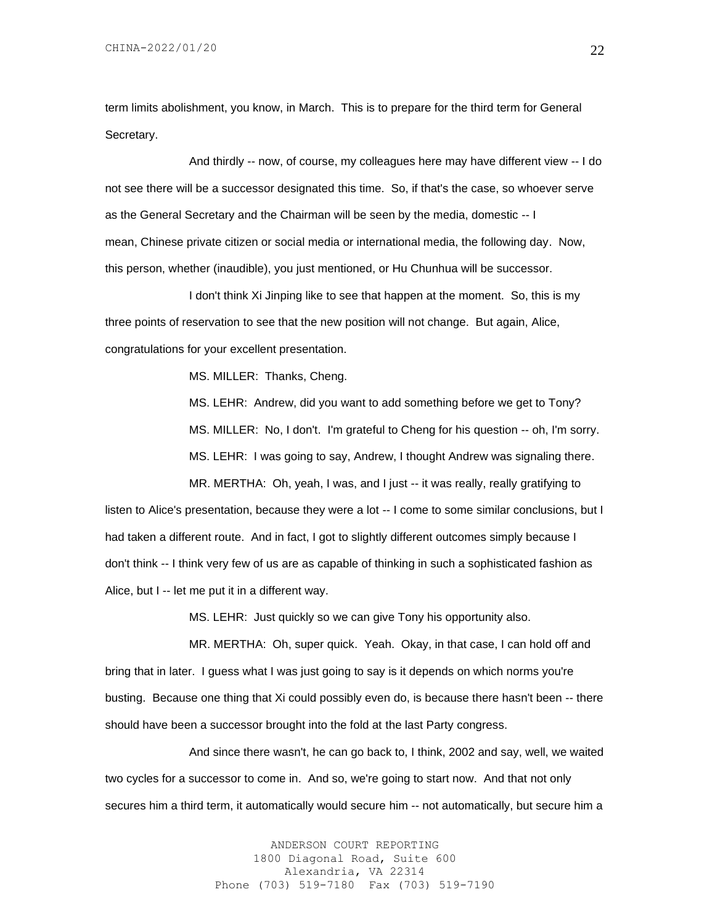CHINA-2022/01/20

term limits abolishment, you know, in March. This is to prepare for the third term for General Secretary.

And thirdly -- now, of course, my colleagues here may have different view -- I do not see there will be a successor designated this time. So, if that's the case, so whoever serve as the General Secretary and the Chairman will be seen by the media, domestic -- I mean, Chinese private citizen or social media or international media, the following day. Now, this person, whether (inaudible), you just mentioned, or Hu Chunhua will be successor.

I don't think Xi Jinping like to see that happen at the moment. So, this is my three points of reservation to see that the new position will not change. But again, Alice, congratulations for your excellent presentation.

MS. MILLER: Thanks, Cheng.

MS. LEHR: Andrew, did you want to add something before we get to Tony? MS. MILLER: No, I don't. I'm grateful to Cheng for his question -- oh, I'm sorry. MS. LEHR: I was going to say, Andrew, I thought Andrew was signaling there.

MR. MERTHA: Oh, yeah, I was, and I just -- it was really, really gratifying to

listen to Alice's presentation, because they were a lot -- I come to some similar conclusions, but I had taken a different route. And in fact, I got to slightly different outcomes simply because I don't think -- I think very few of us are as capable of thinking in such a sophisticated fashion as Alice, but I -- let me put it in a different way.

MS. LEHR: Just quickly so we can give Tony his opportunity also.

MR. MERTHA: Oh, super quick. Yeah. Okay, in that case, I can hold off and bring that in later. I guess what I was just going to say is it depends on which norms you're busting. Because one thing that Xi could possibly even do, is because there hasn't been -- there should have been a successor brought into the fold at the last Party congress.

And since there wasn't, he can go back to, I think, 2002 and say, well, we waited two cycles for a successor to come in. And so, we're going to start now. And that not only secures him a third term, it automatically would secure him -- not automatically, but secure him a

> ANDERSON COURT REPORTING 1800 Diagonal Road, Suite 600 Alexandria, VA 22314 Phone (703) 519-7180 Fax (703) 519-7190

22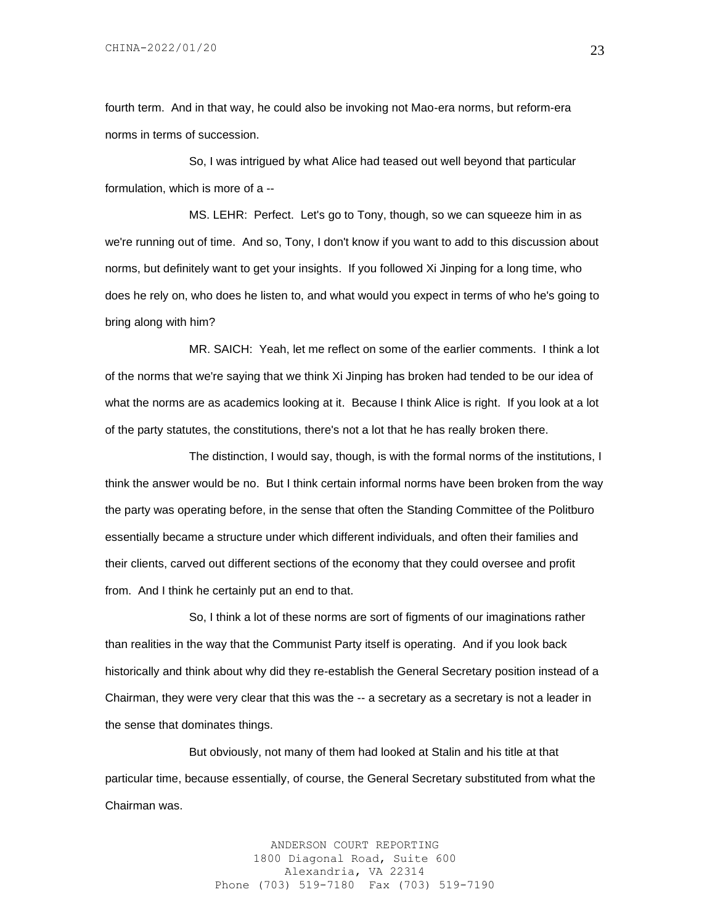fourth term. And in that way, he could also be invoking not Mao-era norms, but reform-era norms in terms of succession.

So, I was intrigued by what Alice had teased out well beyond that particular formulation, which is more of a --

MS. LEHR: Perfect. Let's go to Tony, though, so we can squeeze him in as we're running out of time. And so, Tony, I don't know if you want to add to this discussion about norms, but definitely want to get your insights. If you followed Xi Jinping for a long time, who does he rely on, who does he listen to, and what would you expect in terms of who he's going to bring along with him?

MR. SAICH: Yeah, let me reflect on some of the earlier comments. I think a lot of the norms that we're saying that we think Xi Jinping has broken had tended to be our idea of what the norms are as academics looking at it. Because I think Alice is right. If you look at a lot of the party statutes, the constitutions, there's not a lot that he has really broken there.

The distinction, I would say, though, is with the formal norms of the institutions, I think the answer would be no. But I think certain informal norms have been broken from the way the party was operating before, in the sense that often the Standing Committee of the Politburo essentially became a structure under which different individuals, and often their families and their clients, carved out different sections of the economy that they could oversee and profit from. And I think he certainly put an end to that.

So, I think a lot of these norms are sort of figments of our imaginations rather than realities in the way that the Communist Party itself is operating. And if you look back historically and think about why did they re-establish the General Secretary position instead of a Chairman, they were very clear that this was the -- a secretary as a secretary is not a leader in the sense that dominates things.

But obviously, not many of them had looked at Stalin and his title at that particular time, because essentially, of course, the General Secretary substituted from what the Chairman was.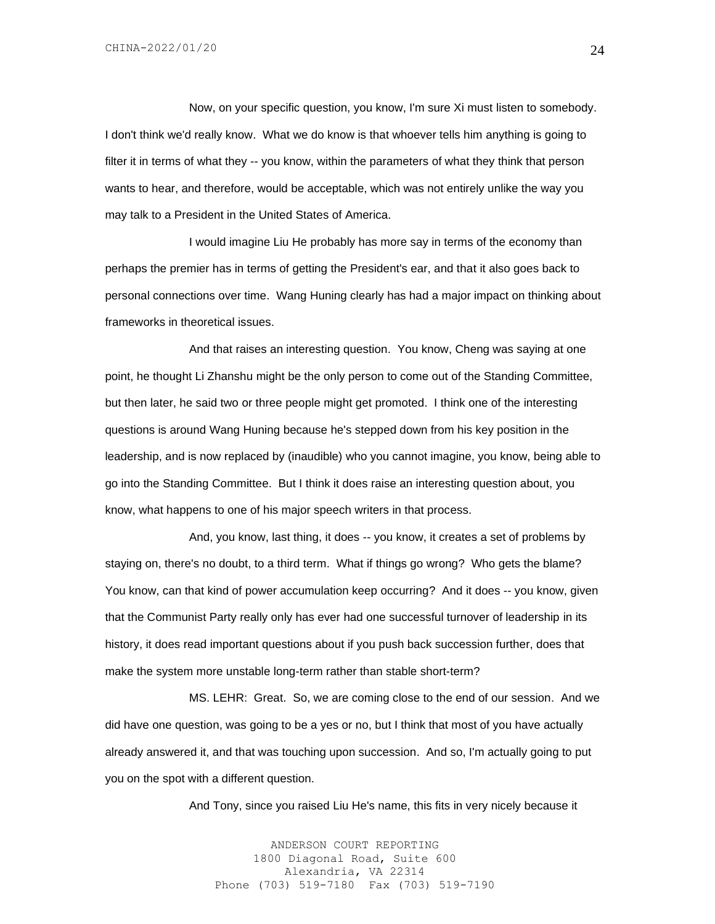Now, on your specific question, you know, I'm sure Xi must listen to somebody. I don't think we'd really know. What we do know is that whoever tells him anything is going to filter it in terms of what they -- you know, within the parameters of what they think that person wants to hear, and therefore, would be acceptable, which was not entirely unlike the way you may talk to a President in the United States of America.

I would imagine Liu He probably has more say in terms of the economy than perhaps the premier has in terms of getting the President's ear, and that it also goes back to personal connections over time. Wang Huning clearly has had a major impact on thinking about frameworks in theoretical issues.

And that raises an interesting question. You know, Cheng was saying at one point, he thought Li Zhanshu might be the only person to come out of the Standing Committee, but then later, he said two or three people might get promoted. I think one of the interesting questions is around Wang Huning because he's stepped down from his key position in the leadership, and is now replaced by (inaudible) who you cannot imagine, you know, being able to go into the Standing Committee. But I think it does raise an interesting question about, you know, what happens to one of his major speech writers in that process.

And, you know, last thing, it does -- you know, it creates a set of problems by staying on, there's no doubt, to a third term. What if things go wrong? Who gets the blame? You know, can that kind of power accumulation keep occurring? And it does -- you know, given that the Communist Party really only has ever had one successful turnover of leadership in its history, it does read important questions about if you push back succession further, does that make the system more unstable long-term rather than stable short-term?

MS. LEHR: Great. So, we are coming close to the end of our session. And we did have one question, was going to be a yes or no, but I think that most of you have actually already answered it, and that was touching upon succession. And so, I'm actually going to put you on the spot with a different question.

And Tony, since you raised Liu He's name, this fits in very nicely because it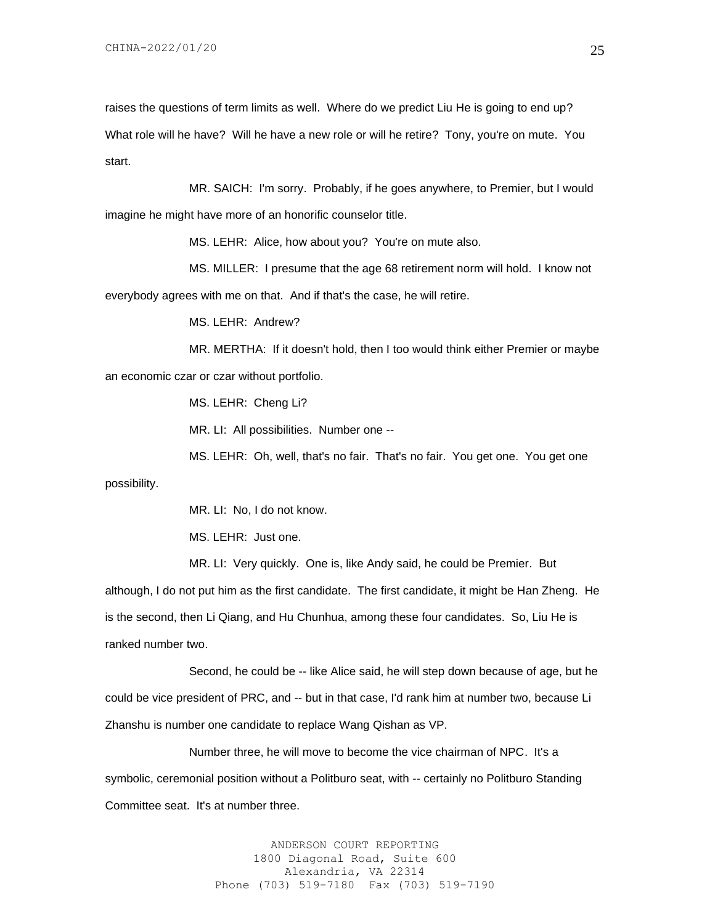raises the questions of term limits as well. Where do we predict Liu He is going to end up? What role will he have? Will he have a new role or will he retire? Tony, you're on mute. You start.

MR. SAICH: I'm sorry. Probably, if he goes anywhere, to Premier, but I would imagine he might have more of an honorific counselor title.

MS. LEHR: Alice, how about you? You're on mute also.

MS. MILLER: I presume that the age 68 retirement norm will hold. I know not everybody agrees with me on that. And if that's the case, he will retire.

MS. LEHR: Andrew?

MR. MERTHA: If it doesn't hold, then I too would think either Premier or maybe an economic czar or czar without portfolio.

MS. LEHR: Cheng Li?

MR. LI: All possibilities. Number one --

MS. LEHR: Oh, well, that's no fair. That's no fair. You get one. You get one

possibility.

MR. LI: No, I do not know.

MS. LEHR: Just one.

MR. LI: Very quickly. One is, like Andy said, he could be Premier. But

although, I do not put him as the first candidate. The first candidate, it might be Han Zheng. He is the second, then Li Qiang, and Hu Chunhua, among these four candidates. So, Liu He is ranked number two.

Second, he could be -- like Alice said, he will step down because of age, but he could be vice president of PRC, and -- but in that case, I'd rank him at number two, because Li Zhanshu is number one candidate to replace Wang Qishan as VP.

Number three, he will move to become the vice chairman of NPC. It's a symbolic, ceremonial position without a Politburo seat, with -- certainly no Politburo Standing Committee seat. It's at number three.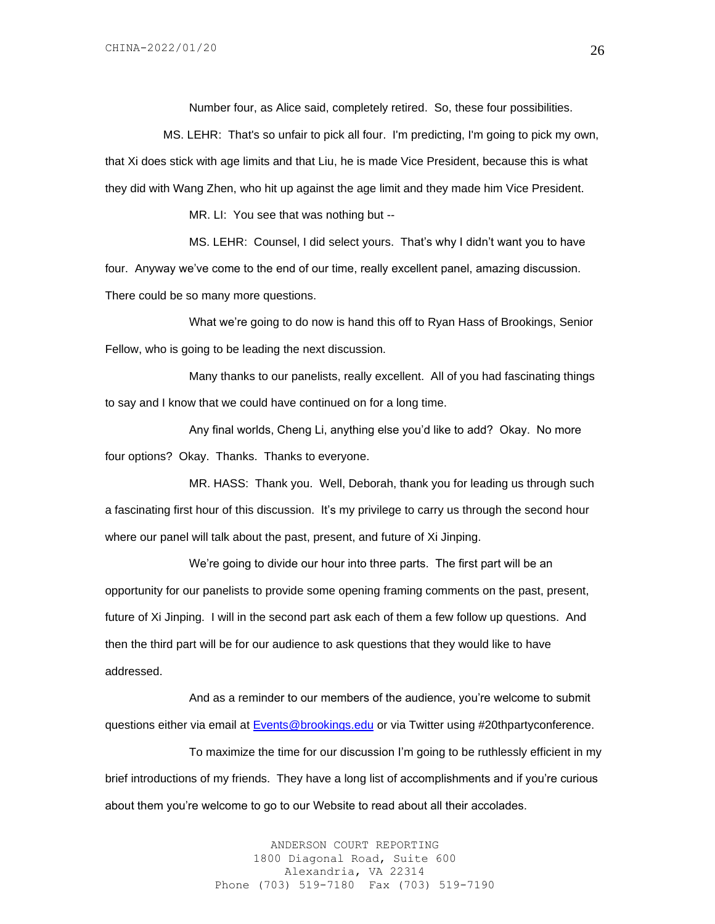Number four, as Alice said, completely retired. So, these four possibilities.

 MS. LEHR: That's so unfair to pick all four. I'm predicting, I'm going to pick my own, that Xi does stick with age limits and that Liu, he is made Vice President, because this is what they did with Wang Zhen, who hit up against the age limit and they made him Vice President.

MR. LI: You see that was nothing but --

MS. LEHR: Counsel, I did select yours. That's why I didn't want you to have four. Anyway we've come to the end of our time, really excellent panel, amazing discussion. There could be so many more questions.

What we're going to do now is hand this off to Ryan Hass of Brookings, Senior Fellow, who is going to be leading the next discussion.

Many thanks to our panelists, really excellent. All of you had fascinating things to say and I know that we could have continued on for a long time.

Any final worlds, Cheng Li, anything else you'd like to add? Okay. No more four options? Okay. Thanks. Thanks to everyone.

MR. HASS: Thank you. Well, Deborah, thank you for leading us through such a fascinating first hour of this discussion. It's my privilege to carry us through the second hour where our panel will talk about the past, present, and future of Xi Jinping.

We're going to divide our hour into three parts. The first part will be an opportunity for our panelists to provide some opening framing comments on the past, present, future of Xi Jinping. I will in the second part ask each of them a few follow up questions. And then the third part will be for our audience to ask questions that they would like to have addressed.

And as a reminder to our members of the audience, you're welcome to submit questions either via email at **Events@brookings.edu** or via Twitter using #20thpartyconference.

To maximize the time for our discussion I'm going to be ruthlessly efficient in my brief introductions of my friends. They have a long list of accomplishments and if you're curious about them you're welcome to go to our Website to read about all their accolades.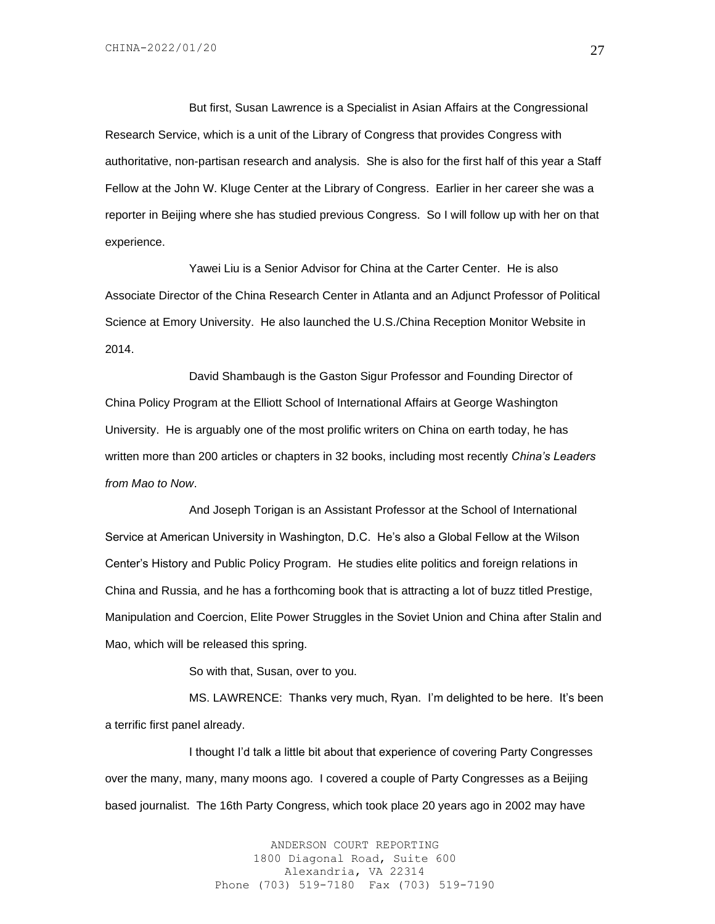But first, Susan Lawrence is a Specialist in Asian Affairs at the Congressional Research Service, which is a unit of the Library of Congress that provides Congress with authoritative, non-partisan research and analysis. She is also for the first half of this year a Staff Fellow at the John W. Kluge Center at the Library of Congress. Earlier in her career she was a reporter in Beijing where she has studied previous Congress. So I will follow up with her on that experience.

Yawei Liu is a Senior Advisor for China at the Carter Center. He is also Associate Director of the China Research Center in Atlanta and an Adjunct Professor of Political Science at Emory University. He also launched the U.S./China Reception Monitor Website in 2014.

David Shambaugh is the Gaston Sigur Professor and Founding Director of China Policy Program at the Elliott School of International Affairs at George Washington University. He is arguably one of the most prolific writers on China on earth today, he has written more than 200 articles or chapters in 32 books, including most recently *China's Leaders from Mao to Now*.

And Joseph Torigan is an Assistant Professor at the School of International Service at American University in Washington, D.C. He's also a Global Fellow at the Wilson Center's History and Public Policy Program. He studies elite politics and foreign relations in China and Russia, and he has a forthcoming book that is attracting a lot of buzz titled Prestige, Manipulation and Coercion, Elite Power Struggles in the Soviet Union and China after Stalin and Mao, which will be released this spring.

So with that, Susan, over to you.

MS. LAWRENCE: Thanks very much, Ryan. I'm delighted to be here. It's been a terrific first panel already.

I thought I'd talk a little bit about that experience of covering Party Congresses over the many, many, many moons ago. I covered a couple of Party Congresses as a Beijing based journalist. The 16th Party Congress, which took place 20 years ago in 2002 may have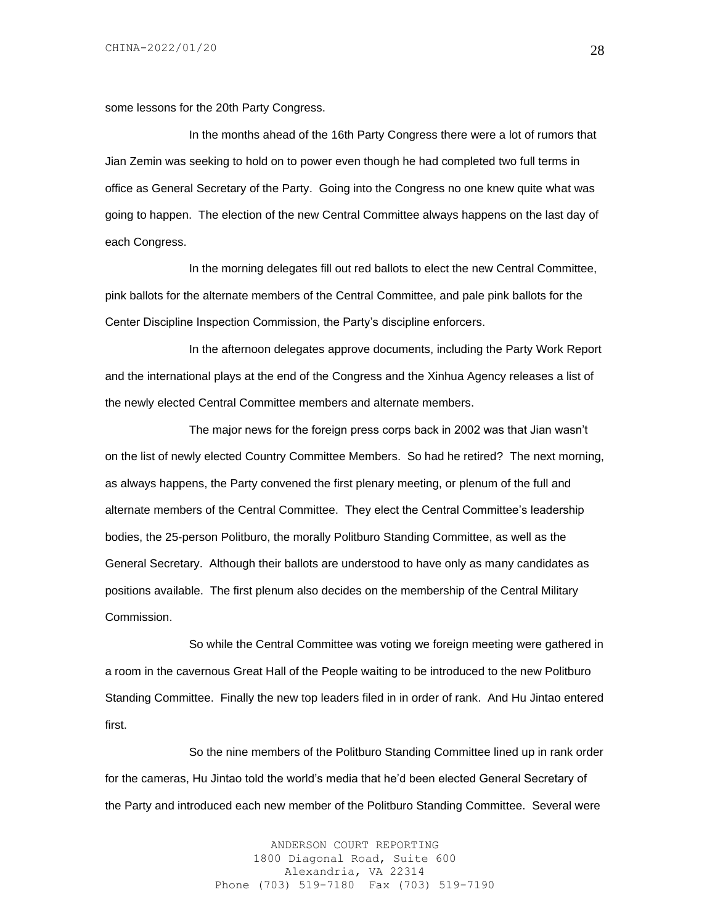some lessons for the 20th Party Congress.

In the months ahead of the 16th Party Congress there were a lot of rumors that Jian Zemin was seeking to hold on to power even though he had completed two full terms in office as General Secretary of the Party. Going into the Congress no one knew quite what was going to happen. The election of the new Central Committee always happens on the last day of each Congress.

In the morning delegates fill out red ballots to elect the new Central Committee, pink ballots for the alternate members of the Central Committee, and pale pink ballots for the Center Discipline Inspection Commission, the Party's discipline enforcers.

In the afternoon delegates approve documents, including the Party Work Report and the international plays at the end of the Congress and the Xinhua Agency releases a list of the newly elected Central Committee members and alternate members.

The major news for the foreign press corps back in 2002 was that Jian wasn't on the list of newly elected Country Committee Members. So had he retired? The next morning, as always happens, the Party convened the first plenary meeting, or plenum of the full and alternate members of the Central Committee. They elect the Central Committee's leadership bodies, the 25-person Politburo, the morally Politburo Standing Committee, as well as the General Secretary. Although their ballots are understood to have only as many candidates as positions available. The first plenum also decides on the membership of the Central Military Commission.

So while the Central Committee was voting we foreign meeting were gathered in a room in the cavernous Great Hall of the People waiting to be introduced to the new Politburo Standing Committee. Finally the new top leaders filed in in order of rank. And Hu Jintao entered first.

So the nine members of the Politburo Standing Committee lined up in rank order for the cameras, Hu Jintao told the world's media that he'd been elected General Secretary of the Party and introduced each new member of the Politburo Standing Committee. Several were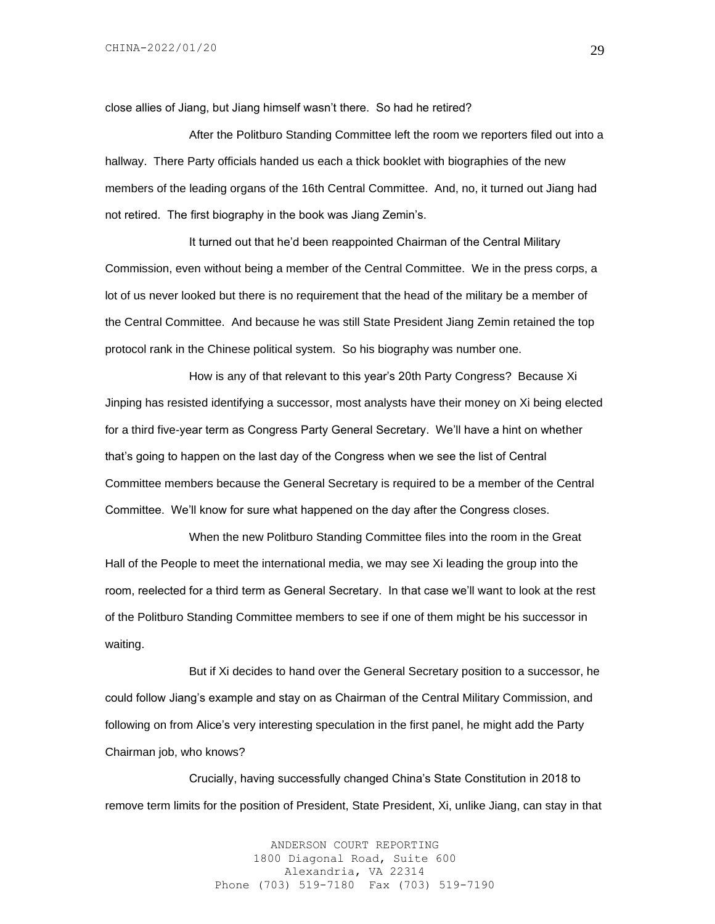close allies of Jiang, but Jiang himself wasn't there. So had he retired?

After the Politburo Standing Committee left the room we reporters filed out into a hallway. There Party officials handed us each a thick booklet with biographies of the new members of the leading organs of the 16th Central Committee. And, no, it turned out Jiang had not retired. The first biography in the book was Jiang Zemin's.

It turned out that he'd been reappointed Chairman of the Central Military Commission, even without being a member of the Central Committee. We in the press corps, a lot of us never looked but there is no requirement that the head of the military be a member of the Central Committee. And because he was still State President Jiang Zemin retained the top protocol rank in the Chinese political system. So his biography was number one.

How is any of that relevant to this year's 20th Party Congress? Because Xi Jinping has resisted identifying a successor, most analysts have their money on Xi being elected for a third five-year term as Congress Party General Secretary. We'll have a hint on whether that's going to happen on the last day of the Congress when we see the list of Central Committee members because the General Secretary is required to be a member of the Central Committee. We'll know for sure what happened on the day after the Congress closes.

When the new Politburo Standing Committee files into the room in the Great Hall of the People to meet the international media, we may see Xi leading the group into the room, reelected for a third term as General Secretary. In that case we'll want to look at the rest of the Politburo Standing Committee members to see if one of them might be his successor in waiting.

But if Xi decides to hand over the General Secretary position to a successor, he could follow Jiang's example and stay on as Chairman of the Central Military Commission, and following on from Alice's very interesting speculation in the first panel, he might add the Party Chairman job, who knows?

Crucially, having successfully changed China's State Constitution in 2018 to remove term limits for the position of President, State President, Xi, unlike Jiang, can stay in that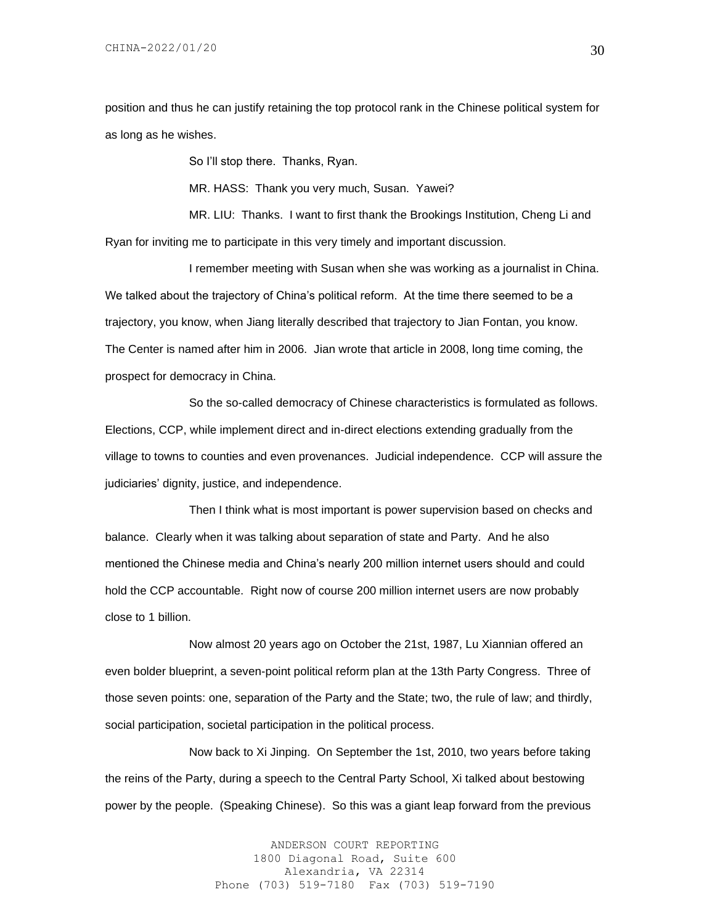position and thus he can justify retaining the top protocol rank in the Chinese political system for as long as he wishes.

So I'll stop there. Thanks, Ryan.

MR. HASS: Thank you very much, Susan. Yawei?

MR. LIU: Thanks. I want to first thank the Brookings Institution, Cheng Li and Ryan for inviting me to participate in this very timely and important discussion.

I remember meeting with Susan when she was working as a journalist in China. We talked about the trajectory of China's political reform. At the time there seemed to be a trajectory, you know, when Jiang literally described that trajectory to Jian Fontan, you know. The Center is named after him in 2006. Jian wrote that article in 2008, long time coming, the prospect for democracy in China.

So the so-called democracy of Chinese characteristics is formulated as follows. Elections, CCP, while implement direct and in-direct elections extending gradually from the village to towns to counties and even provenances. Judicial independence. CCP will assure the judiciaries' dignity, justice, and independence.

Then I think what is most important is power supervision based on checks and balance. Clearly when it was talking about separation of state and Party. And he also mentioned the Chinese media and China's nearly 200 million internet users should and could hold the CCP accountable. Right now of course 200 million internet users are now probably close to 1 billion.

Now almost 20 years ago on October the 21st, 1987, Lu Xiannian offered an even bolder blueprint, a seven-point political reform plan at the 13th Party Congress. Three of those seven points: one, separation of the Party and the State; two, the rule of law; and thirdly, social participation, societal participation in the political process.

Now back to Xi Jinping. On September the 1st, 2010, two years before taking the reins of the Party, during a speech to the Central Party School, Xi talked about bestowing power by the people. (Speaking Chinese). So this was a giant leap forward from the previous

> ANDERSON COURT REPORTING 1800 Diagonal Road, Suite 600 Alexandria, VA 22314 Phone (703) 519-7180 Fax (703) 519-7190

30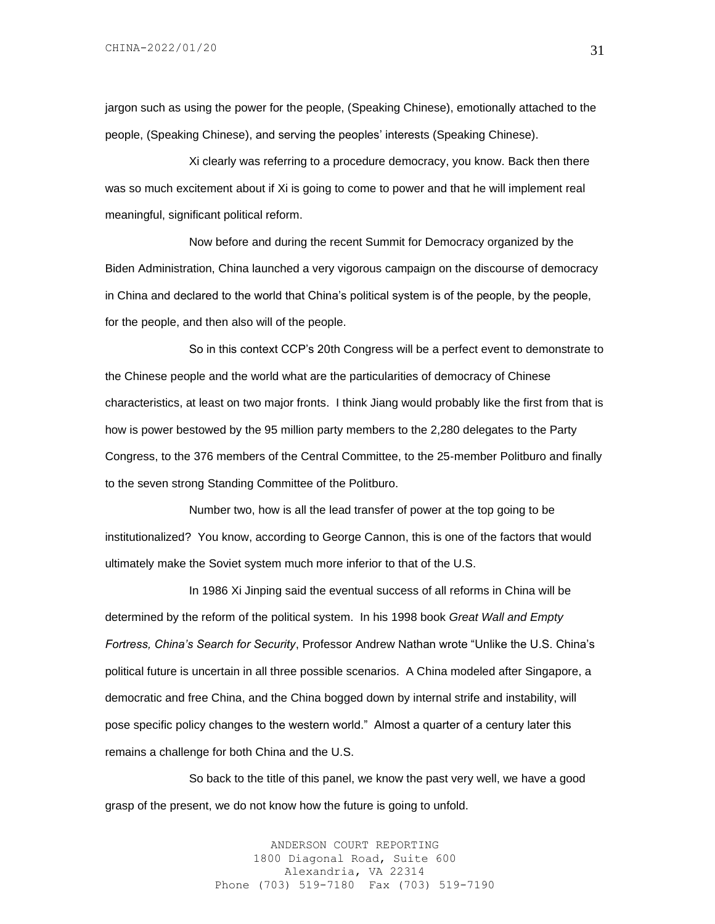jargon such as using the power for the people, (Speaking Chinese), emotionally attached to the people, (Speaking Chinese), and serving the peoples' interests (Speaking Chinese).

Xi clearly was referring to a procedure democracy, you know. Back then there was so much excitement about if Xi is going to come to power and that he will implement real meaningful, significant political reform.

Now before and during the recent Summit for Democracy organized by the Biden Administration, China launched a very vigorous campaign on the discourse of democracy in China and declared to the world that China's political system is of the people, by the people, for the people, and then also will of the people.

So in this context CCP's 20th Congress will be a perfect event to demonstrate to the Chinese people and the world what are the particularities of democracy of Chinese characteristics, at least on two major fronts. I think Jiang would probably like the first from that is how is power bestowed by the 95 million party members to the 2,280 delegates to the Party Congress, to the 376 members of the Central Committee, to the 25-member Politburo and finally to the seven strong Standing Committee of the Politburo.

Number two, how is all the lead transfer of power at the top going to be institutionalized? You know, according to George Cannon, this is one of the factors that would ultimately make the Soviet system much more inferior to that of the U.S.

In 1986 Xi Jinping said the eventual success of all reforms in China will be determined by the reform of the political system. In his 1998 book *Great Wall and Empty Fortress, China's Search for Security*, Professor Andrew Nathan wrote "Unlike the U.S. China's political future is uncertain in all three possible scenarios. A China modeled after Singapore, a democratic and free China, and the China bogged down by internal strife and instability, will pose specific policy changes to the western world." Almost a quarter of a century later this remains a challenge for both China and the U.S.

So back to the title of this panel, we know the past very well, we have a good grasp of the present, we do not know how the future is going to unfold.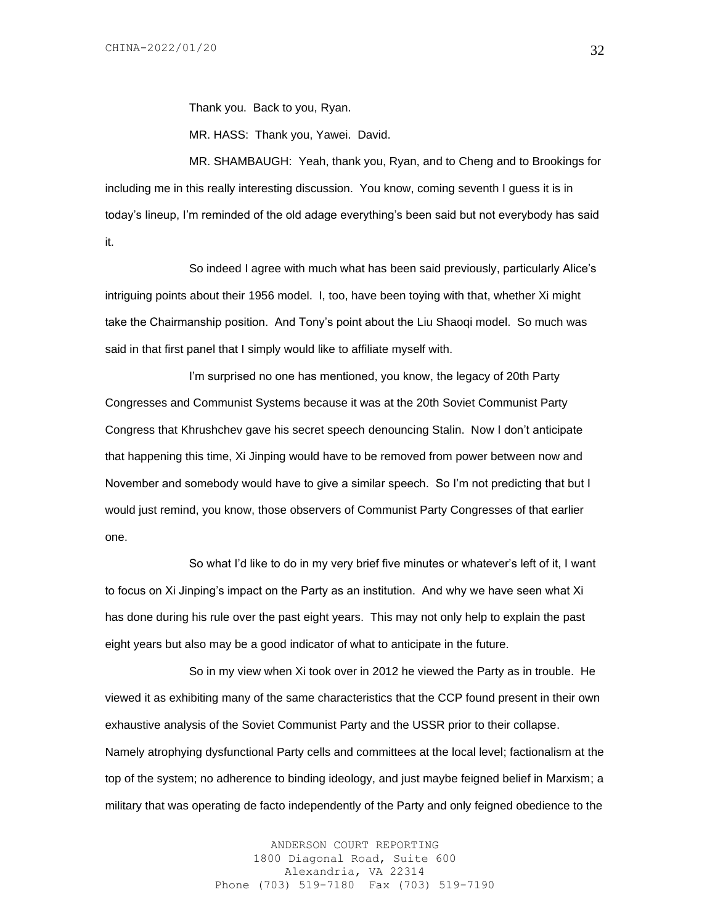Thank you. Back to you, Ryan.

MR. HASS: Thank you, Yawei. David.

MR. SHAMBAUGH: Yeah, thank you, Ryan, and to Cheng and to Brookings for including me in this really interesting discussion. You know, coming seventh I guess it is in today's lineup, I'm reminded of the old adage everything's been said but not everybody has said it.

So indeed I agree with much what has been said previously, particularly Alice's intriguing points about their 1956 model. I, too, have been toying with that, whether Xi might take the Chairmanship position. And Tony's point about the Liu Shaoqi model. So much was said in that first panel that I simply would like to affiliate myself with.

I'm surprised no one has mentioned, you know, the legacy of 20th Party Congresses and Communist Systems because it was at the 20th Soviet Communist Party Congress that Khrushchev gave his secret speech denouncing Stalin. Now I don't anticipate that happening this time, Xi Jinping would have to be removed from power between now and November and somebody would have to give a similar speech. So I'm not predicting that but I would just remind, you know, those observers of Communist Party Congresses of that earlier one.

So what I'd like to do in my very brief five minutes or whatever's left of it, I want to focus on Xi Jinping's impact on the Party as an institution. And why we have seen what Xi has done during his rule over the past eight years. This may not only help to explain the past eight years but also may be a good indicator of what to anticipate in the future.

So in my view when Xi took over in 2012 he viewed the Party as in trouble. He viewed it as exhibiting many of the same characteristics that the CCP found present in their own exhaustive analysis of the Soviet Communist Party and the USSR prior to their collapse. Namely atrophying dysfunctional Party cells and committees at the local level; factionalism at the top of the system; no adherence to binding ideology, and just maybe feigned belief in Marxism; a military that was operating de facto independently of the Party and only feigned obedience to the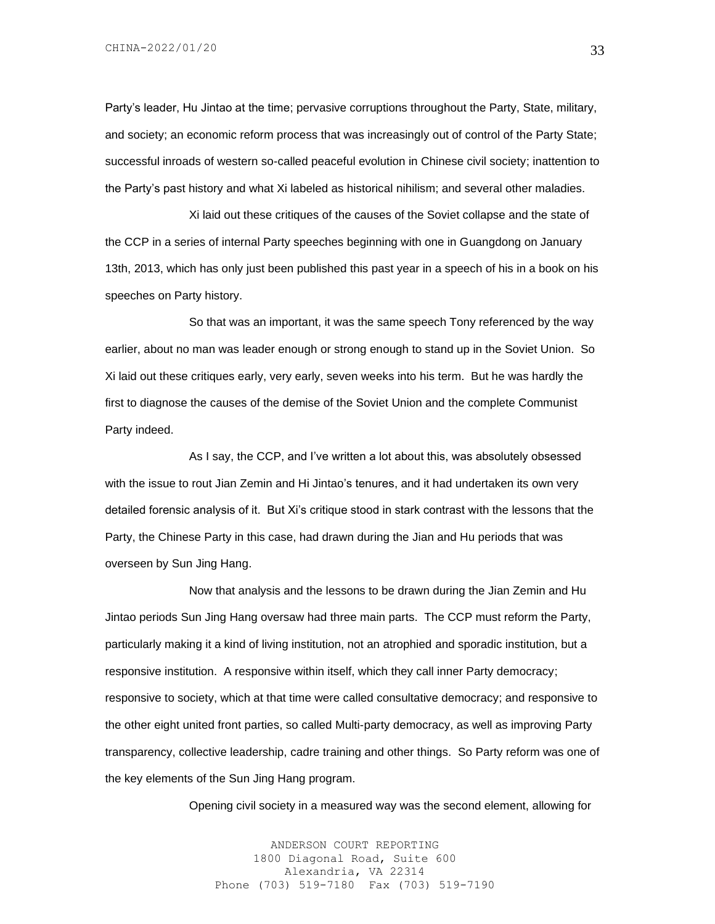CHINA-2022/01/20

Party's leader, Hu Jintao at the time; pervasive corruptions throughout the Party, State, military, and society; an economic reform process that was increasingly out of control of the Party State; successful inroads of western so-called peaceful evolution in Chinese civil society; inattention to the Party's past history and what Xi labeled as historical nihilism; and several other maladies.

Xi laid out these critiques of the causes of the Soviet collapse and the state of the CCP in a series of internal Party speeches beginning with one in Guangdong on January 13th, 2013, which has only just been published this past year in a speech of his in a book on his speeches on Party history.

So that was an important, it was the same speech Tony referenced by the way earlier, about no man was leader enough or strong enough to stand up in the Soviet Union. So Xi laid out these critiques early, very early, seven weeks into his term. But he was hardly the first to diagnose the causes of the demise of the Soviet Union and the complete Communist Party indeed.

As I say, the CCP, and I've written a lot about this, was absolutely obsessed with the issue to rout Jian Zemin and Hi Jintao's tenures, and it had undertaken its own very detailed forensic analysis of it. But Xi's critique stood in stark contrast with the lessons that the Party, the Chinese Party in this case, had drawn during the Jian and Hu periods that was overseen by Sun Jing Hang.

Now that analysis and the lessons to be drawn during the Jian Zemin and Hu Jintao periods Sun Jing Hang oversaw had three main parts. The CCP must reform the Party, particularly making it a kind of living institution, not an atrophied and sporadic institution, but a responsive institution. A responsive within itself, which they call inner Party democracy; responsive to society, which at that time were called consultative democracy; and responsive to the other eight united front parties, so called Multi-party democracy, as well as improving Party transparency, collective leadership, cadre training and other things. So Party reform was one of the key elements of the Sun Jing Hang program.

Opening civil society in a measured way was the second element, allowing for

ANDERSON COURT REPORTING 1800 Diagonal Road, Suite 600 Alexandria, VA 22314 Phone (703) 519-7180 Fax (703) 519-7190 33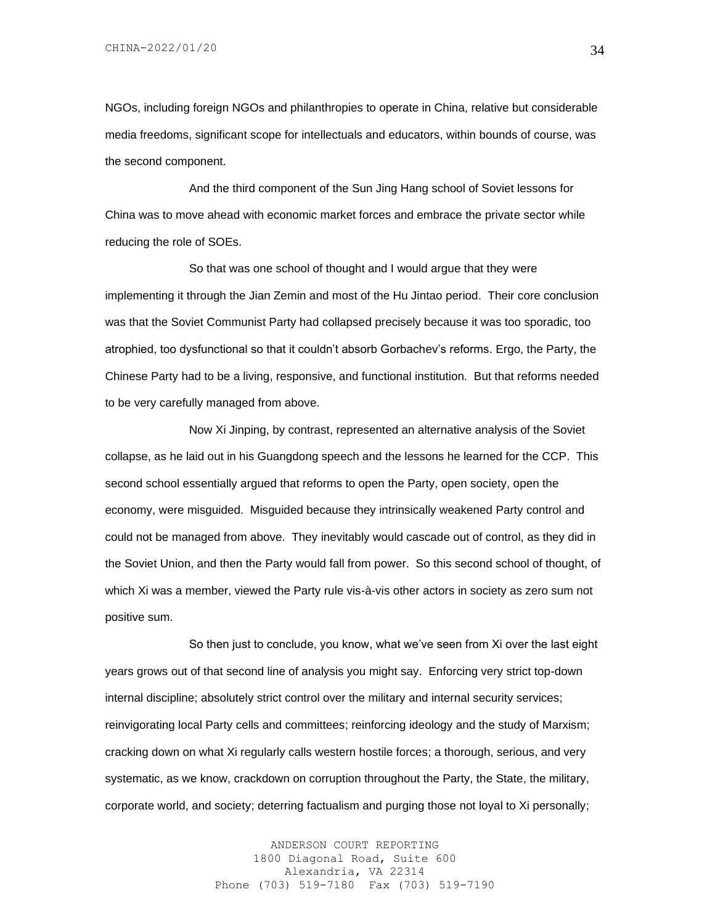NGOs, including foreign NGOs and philanthropies to operate in China, relative but considerable media freedoms, significant scope for intellectuals and educators, within bounds of course, was the second component.

And the third component of the Sun Jing Hang school of Soviet lessons for China was to move ahead with economic market forces and embrace the private sector while reducing the role of SOEs.

So that was one school of thought and I would argue that they were implementing it through the Jian Zemin and most of the Hu Jintao period. Their core conclusion was that the Soviet Communist Party had collapsed precisely because it was too sporadic, too atrophied, too dysfunctional so that it couldn't absorb Gorbachev's reforms. Ergo, the Party, the Chinese Party had to be a living, responsive, and functional institution. But that reforms needed to be very carefully managed from above.

Now Xi Jinping, by contrast, represented an alternative analysis of the Soviet collapse, as he laid out in his Guangdong speech and the lessons he learned for the CCP. This second school essentially argued that reforms to open the Party, open society, open the economy, were misguided. Misguided because they intrinsically weakened Party control and could not be managed from above. They inevitably would cascade out of control, as they did in the Soviet Union, and then the Party would fall from power. So this second school of thought, of which Xi was a member, viewed the Party rule vis-à-vis other actors in society as zero sum not positive sum.

So then just to conclude, you know, what we've seen from Xi over the last eight years grows out of that second line of analysis you might say. Enforcing very strict top-down internal discipline; absolutely strict control over the military and internal security services; reinvigorating local Party cells and committees; reinforcing ideology and the study of Marxism; cracking down on what Xi regularly calls western hostile forces; a thorough, serious, and very systematic, as we know, crackdown on corruption throughout the Party, the State, the military, corporate world, and society; deterring factualism and purging those not loyal to Xi personally;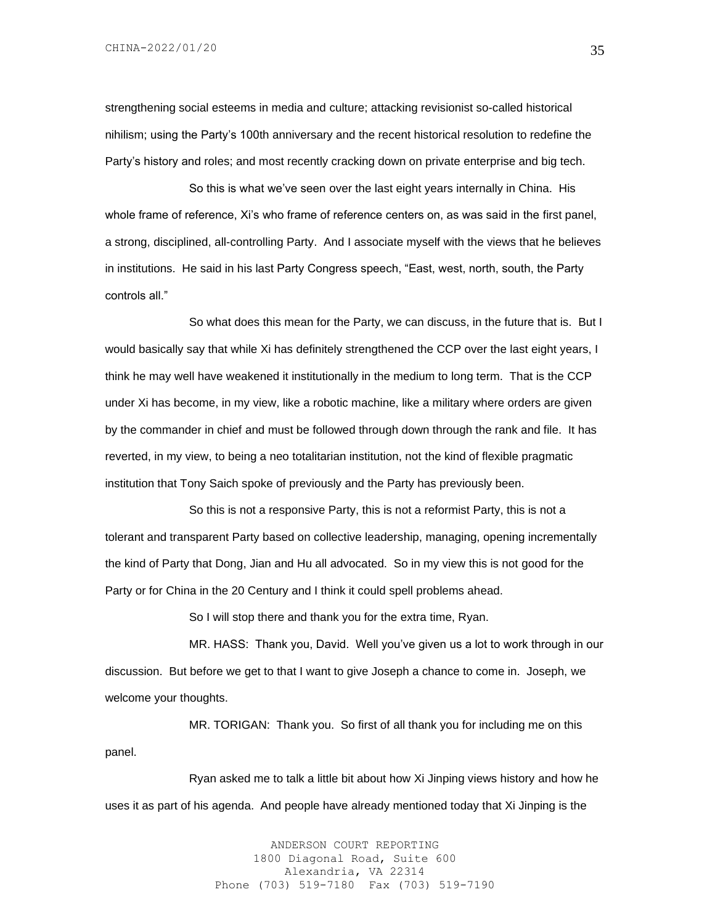CHINA-2022/01/20

strengthening social esteems in media and culture; attacking revisionist so-called historical nihilism; using the Party's 100th anniversary and the recent historical resolution to redefine the Party's history and roles; and most recently cracking down on private enterprise and big tech.

So this is what we've seen over the last eight years internally in China. His whole frame of reference, Xi's who frame of reference centers on, as was said in the first panel, a strong, disciplined, all-controlling Party. And I associate myself with the views that he believes in institutions. He said in his last Party Congress speech, "East, west, north, south, the Party controls all."

So what does this mean for the Party, we can discuss, in the future that is. But I would basically say that while Xi has definitely strengthened the CCP over the last eight years, I think he may well have weakened it institutionally in the medium to long term. That is the CCP under Xi has become, in my view, like a robotic machine, like a military where orders are given by the commander in chief and must be followed through down through the rank and file. It has reverted, in my view, to being a neo totalitarian institution, not the kind of flexible pragmatic institution that Tony Saich spoke of previously and the Party has previously been.

So this is not a responsive Party, this is not a reformist Party, this is not a tolerant and transparent Party based on collective leadership, managing, opening incrementally the kind of Party that Dong, Jian and Hu all advocated. So in my view this is not good for the Party or for China in the 20 Century and I think it could spell problems ahead.

So I will stop there and thank you for the extra time, Ryan.

MR. HASS: Thank you, David. Well you've given us a lot to work through in our discussion. But before we get to that I want to give Joseph a chance to come in. Joseph, we welcome your thoughts.

MR. TORIGAN: Thank you. So first of all thank you for including me on this panel.

Ryan asked me to talk a little bit about how Xi Jinping views history and how he uses it as part of his agenda. And people have already mentioned today that Xi Jinping is the

> ANDERSON COURT REPORTING 1800 Diagonal Road, Suite 600 Alexandria, VA 22314 Phone (703) 519-7180 Fax (703) 519-7190

35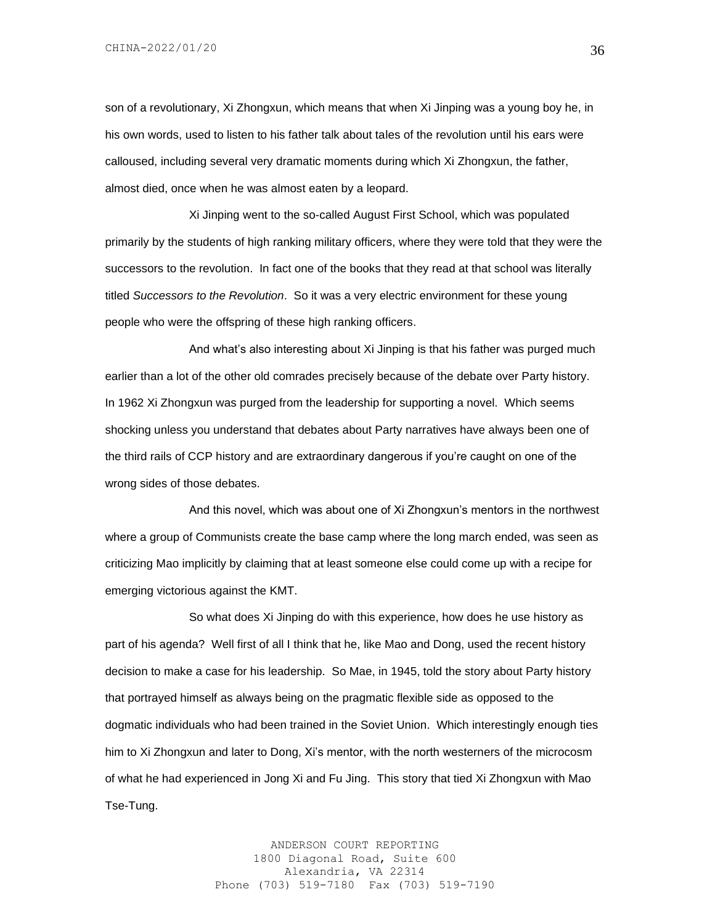son of a revolutionary, Xi Zhongxun, which means that when Xi Jinping was a young boy he, in his own words, used to listen to his father talk about tales of the revolution until his ears were calloused, including several very dramatic moments during which Xi Zhongxun, the father, almost died, once when he was almost eaten by a leopard.

Xi Jinping went to the so-called August First School, which was populated primarily by the students of high ranking military officers, where they were told that they were the successors to the revolution. In fact one of the books that they read at that school was literally titled *Successors to the Revolution*. So it was a very electric environment for these young people who were the offspring of these high ranking officers.

And what's also interesting about Xi Jinping is that his father was purged much earlier than a lot of the other old comrades precisely because of the debate over Party history. In 1962 Xi Zhongxun was purged from the leadership for supporting a novel. Which seems shocking unless you understand that debates about Party narratives have always been one of the third rails of CCP history and are extraordinary dangerous if you're caught on one of the wrong sides of those debates.

And this novel, which was about one of Xi Zhongxun's mentors in the northwest where a group of Communists create the base camp where the long march ended, was seen as criticizing Mao implicitly by claiming that at least someone else could come up with a recipe for emerging victorious against the KMT.

So what does Xi Jinping do with this experience, how does he use history as part of his agenda? Well first of all I think that he, like Mao and Dong, used the recent history decision to make a case for his leadership. So Mae, in 1945, told the story about Party history that portrayed himself as always being on the pragmatic flexible side as opposed to the dogmatic individuals who had been trained in the Soviet Union. Which interestingly enough ties him to Xi Zhongxun and later to Dong, Xi's mentor, with the north westerners of the microcosm of what he had experienced in Jong Xi and Fu Jing. This story that tied Xi Zhongxun with Mao Tse-Tung.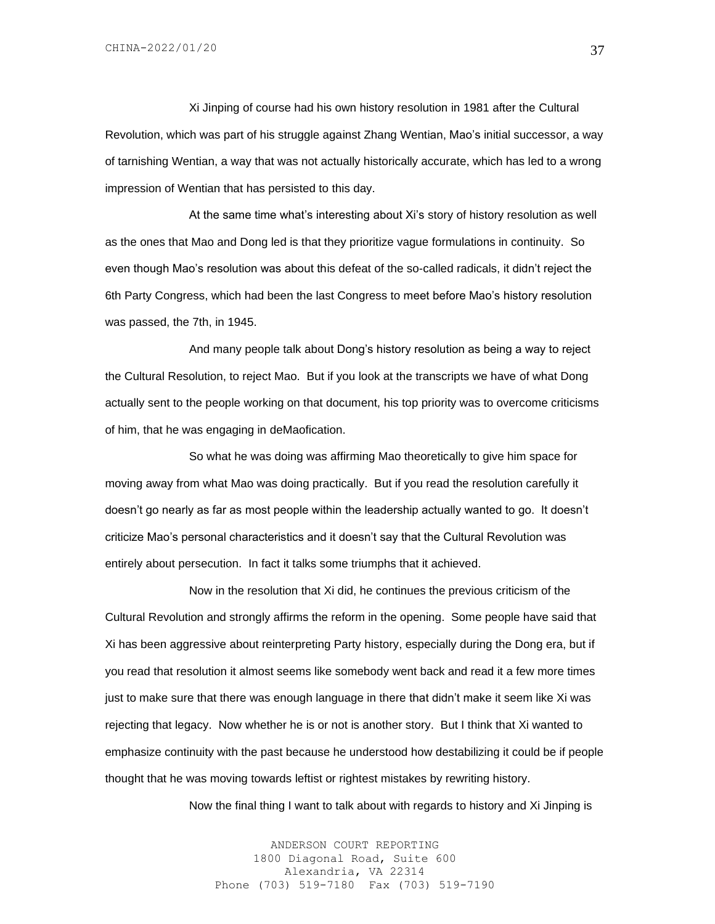Xi Jinping of course had his own history resolution in 1981 after the Cultural Revolution, which was part of his struggle against Zhang Wentian, Mao's initial successor, a way of tarnishing Wentian, a way that was not actually historically accurate, which has led to a wrong impression of Wentian that has persisted to this day.

At the same time what's interesting about Xi's story of history resolution as well as the ones that Mao and Dong led is that they prioritize vague formulations in continuity. So even though Mao's resolution was about this defeat of the so-called radicals, it didn't reject the 6th Party Congress, which had been the last Congress to meet before Mao's history resolution was passed, the 7th, in 1945.

And many people talk about Dong's history resolution as being a way to reject the Cultural Resolution, to reject Mao. But if you look at the transcripts we have of what Dong actually sent to the people working on that document, his top priority was to overcome criticisms of him, that he was engaging in deMaofication.

So what he was doing was affirming Mao theoretically to give him space for moving away from what Mao was doing practically. But if you read the resolution carefully it doesn't go nearly as far as most people within the leadership actually wanted to go. It doesn't criticize Mao's personal characteristics and it doesn't say that the Cultural Revolution was entirely about persecution. In fact it talks some triumphs that it achieved.

Now in the resolution that Xi did, he continues the previous criticism of the Cultural Revolution and strongly affirms the reform in the opening. Some people have said that Xi has been aggressive about reinterpreting Party history, especially during the Dong era, but if you read that resolution it almost seems like somebody went back and read it a few more times just to make sure that there was enough language in there that didn't make it seem like Xi was rejecting that legacy. Now whether he is or not is another story. But I think that Xi wanted to emphasize continuity with the past because he understood how destabilizing it could be if people thought that he was moving towards leftist or rightest mistakes by rewriting history.

Now the final thing I want to talk about with regards to history and Xi Jinping is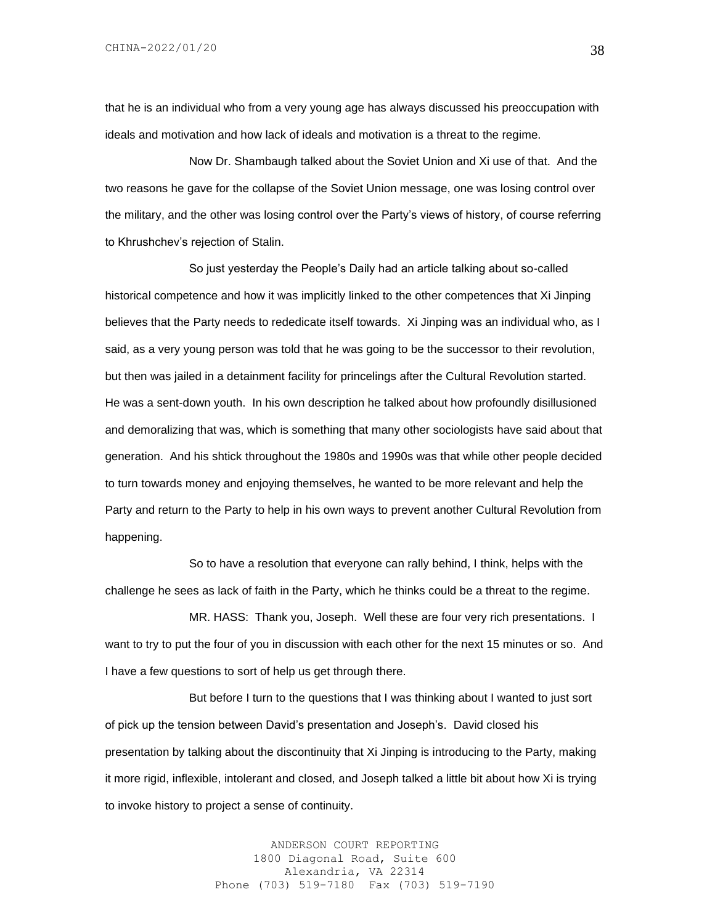that he is an individual who from a very young age has always discussed his preoccupation with ideals and motivation and how lack of ideals and motivation is a threat to the regime.

Now Dr. Shambaugh talked about the Soviet Union and Xi use of that. And the two reasons he gave for the collapse of the Soviet Union message, one was losing control over the military, and the other was losing control over the Party's views of history, of course referring to Khrushchev's rejection of Stalin.

So just yesterday the People's Daily had an article talking about so-called historical competence and how it was implicitly linked to the other competences that Xi Jinping believes that the Party needs to rededicate itself towards. Xi Jinping was an individual who, as I said, as a very young person was told that he was going to be the successor to their revolution, but then was jailed in a detainment facility for princelings after the Cultural Revolution started. He was a sent-down youth. In his own description he talked about how profoundly disillusioned and demoralizing that was, which is something that many other sociologists have said about that generation. And his shtick throughout the 1980s and 1990s was that while other people decided to turn towards money and enjoying themselves, he wanted to be more relevant and help the Party and return to the Party to help in his own ways to prevent another Cultural Revolution from happening.

So to have a resolution that everyone can rally behind, I think, helps with the challenge he sees as lack of faith in the Party, which he thinks could be a threat to the regime.

MR. HASS: Thank you, Joseph. Well these are four very rich presentations. I want to try to put the four of you in discussion with each other for the next 15 minutes or so. And I have a few questions to sort of help us get through there.

But before I turn to the questions that I was thinking about I wanted to just sort of pick up the tension between David's presentation and Joseph's. David closed his presentation by talking about the discontinuity that Xi Jinping is introducing to the Party, making it more rigid, inflexible, intolerant and closed, and Joseph talked a little bit about how Xi is trying to invoke history to project a sense of continuity.

> ANDERSON COURT REPORTING 1800 Diagonal Road, Suite 600 Alexandria, VA 22314 Phone (703) 519-7180 Fax (703) 519-7190

38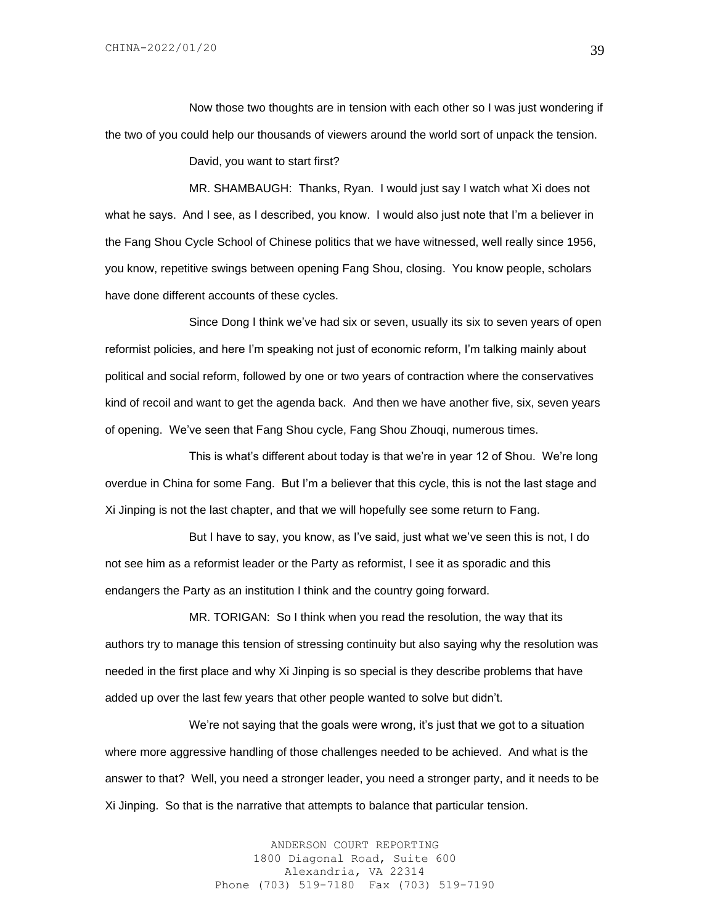Now those two thoughts are in tension with each other so I was just wondering if the two of you could help our thousands of viewers around the world sort of unpack the tension.

David, you want to start first?

MR. SHAMBAUGH: Thanks, Ryan. I would just say I watch what Xi does not what he says. And I see, as I described, you know. I would also just note that I'm a believer in the Fang Shou Cycle School of Chinese politics that we have witnessed, well really since 1956, you know, repetitive swings between opening Fang Shou, closing. You know people, scholars have done different accounts of these cycles.

Since Dong I think we've had six or seven, usually its six to seven years of open reformist policies, and here I'm speaking not just of economic reform, I'm talking mainly about political and social reform, followed by one or two years of contraction where the conservatives kind of recoil and want to get the agenda back. And then we have another five, six, seven years of opening. We've seen that Fang Shou cycle, Fang Shou Zhouqi, numerous times.

This is what's different about today is that we're in year 12 of Shou. We're long overdue in China for some Fang. But I'm a believer that this cycle, this is not the last stage and Xi Jinping is not the last chapter, and that we will hopefully see some return to Fang.

But I have to say, you know, as I've said, just what we've seen this is not, I do not see him as a reformist leader or the Party as reformist, I see it as sporadic and this endangers the Party as an institution I think and the country going forward.

MR. TORIGAN: So I think when you read the resolution, the way that its authors try to manage this tension of stressing continuity but also saying why the resolution was needed in the first place and why Xi Jinping is so special is they describe problems that have added up over the last few years that other people wanted to solve but didn't.

We're not saying that the goals were wrong, it's just that we got to a situation where more aggressive handling of those challenges needed to be achieved. And what is the answer to that? Well, you need a stronger leader, you need a stronger party, and it needs to be Xi Jinping. So that is the narrative that attempts to balance that particular tension.

> ANDERSON COURT REPORTING 1800 Diagonal Road, Suite 600 Alexandria, VA 22314 Phone (703) 519-7180 Fax (703) 519-7190

39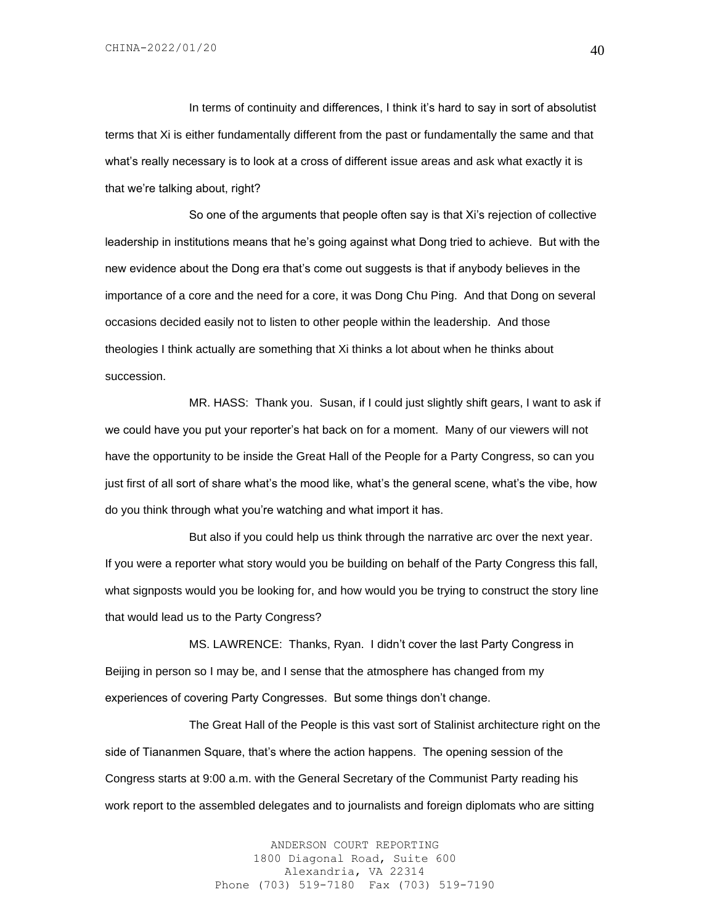In terms of continuity and differences, I think it's hard to say in sort of absolutist terms that Xi is either fundamentally different from the past or fundamentally the same and that what's really necessary is to look at a cross of different issue areas and ask what exactly it is that we're talking about, right?

So one of the arguments that people often say is that Xi's rejection of collective leadership in institutions means that he's going against what Dong tried to achieve. But with the new evidence about the Dong era that's come out suggests is that if anybody believes in the importance of a core and the need for a core, it was Dong Chu Ping. And that Dong on several occasions decided easily not to listen to other people within the leadership. And those theologies I think actually are something that Xi thinks a lot about when he thinks about succession.

MR. HASS: Thank you. Susan, if I could just slightly shift gears, I want to ask if we could have you put your reporter's hat back on for a moment. Many of our viewers will not have the opportunity to be inside the Great Hall of the People for a Party Congress, so can you just first of all sort of share what's the mood like, what's the general scene, what's the vibe, how do you think through what you're watching and what import it has.

But also if you could help us think through the narrative arc over the next year. If you were a reporter what story would you be building on behalf of the Party Congress this fall, what signposts would you be looking for, and how would you be trying to construct the story line that would lead us to the Party Congress?

MS. LAWRENCE: Thanks, Ryan. I didn't cover the last Party Congress in Beijing in person so I may be, and I sense that the atmosphere has changed from my experiences of covering Party Congresses. But some things don't change.

The Great Hall of the People is this vast sort of Stalinist architecture right on the side of Tiananmen Square, that's where the action happens. The opening session of the Congress starts at 9:00 a.m. with the General Secretary of the Communist Party reading his work report to the assembled delegates and to journalists and foreign diplomats who are sitting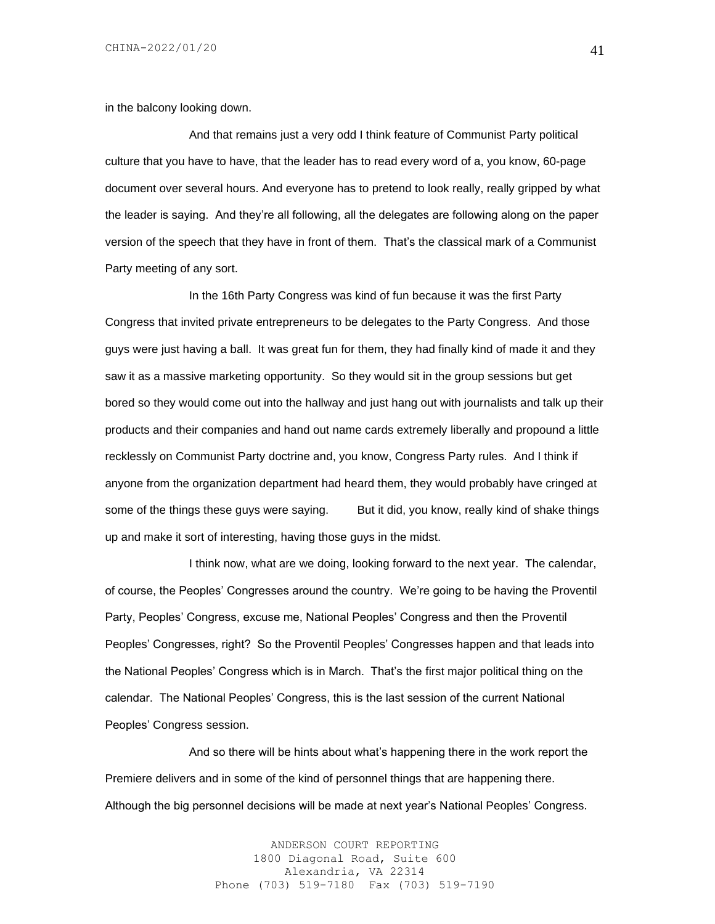in the balcony looking down.

And that remains just a very odd I think feature of Communist Party political culture that you have to have, that the leader has to read every word of a, you know, 60-page document over several hours. And everyone has to pretend to look really, really gripped by what the leader is saying. And they're all following, all the delegates are following along on the paper version of the speech that they have in front of them. That's the classical mark of a Communist Party meeting of any sort.

In the 16th Party Congress was kind of fun because it was the first Party Congress that invited private entrepreneurs to be delegates to the Party Congress. And those guys were just having a ball. It was great fun for them, they had finally kind of made it and they saw it as a massive marketing opportunity. So they would sit in the group sessions but get bored so they would come out into the hallway and just hang out with journalists and talk up their products and their companies and hand out name cards extremely liberally and propound a little recklessly on Communist Party doctrine and, you know, Congress Party rules. And I think if anyone from the organization department had heard them, they would probably have cringed at some of the things these guys were saying. But it did, you know, really kind of shake things up and make it sort of interesting, having those guys in the midst.

I think now, what are we doing, looking forward to the next year. The calendar, of course, the Peoples' Congresses around the country. We're going to be having the Proventil Party, Peoples' Congress, excuse me, National Peoples' Congress and then the Proventil Peoples' Congresses, right? So the Proventil Peoples' Congresses happen and that leads into the National Peoples' Congress which is in March. That's the first major political thing on the calendar. The National Peoples' Congress, this is the last session of the current National Peoples' Congress session.

And so there will be hints about what's happening there in the work report the Premiere delivers and in some of the kind of personnel things that are happening there. Although the big personnel decisions will be made at next year's National Peoples' Congress.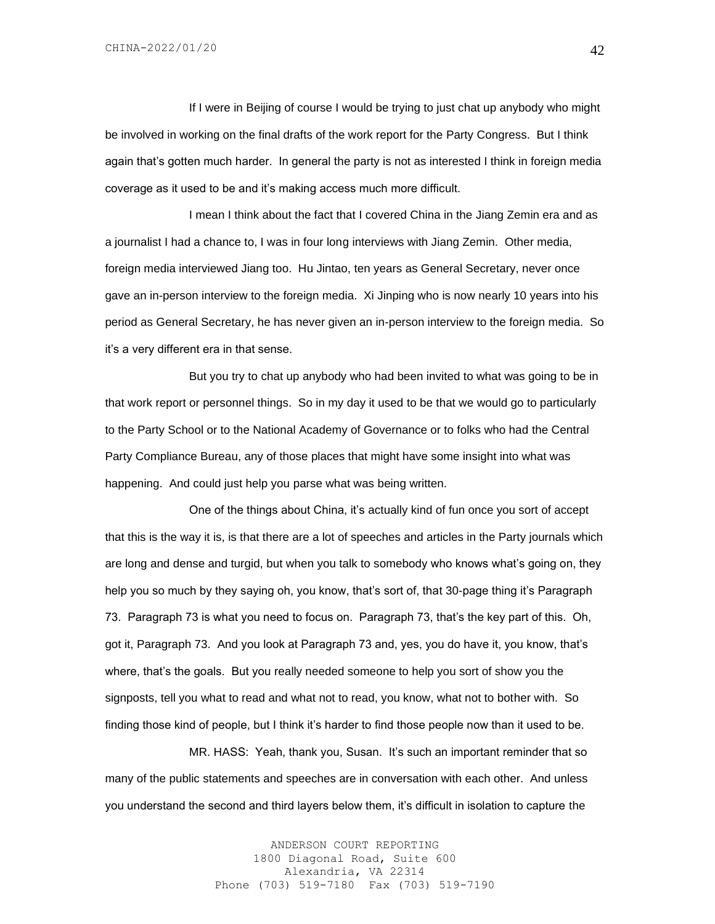If I were in Beijing of course I would be trying to just chat up anybody who might be involved in working on the final drafts of the work report for the Party Congress. But I think again that's gotten much harder. In general the party is not as interested I think in foreign media coverage as it used to be and it's making access much more difficult.

I mean I think about the fact that I covered China in the Jiang Zemin era and as a journalist I had a chance to, I was in four long interviews with Jiang Zemin. Other media, foreign media interviewed Jiang too. Hu Jintao, ten years as General Secretary, never once gave an in-person interview to the foreign media. Xi Jinping who is now nearly 10 years into his period as General Secretary, he has never given an in-person interview to the foreign media. So it's a very different era in that sense.

But you try to chat up anybody who had been invited to what was going to be in that work report or personnel things. So in my day it used to be that we would go to particularly to the Party School or to the National Academy of Governance or to folks who had the Central Party Compliance Bureau, any of those places that might have some insight into what was happening. And could just help you parse what was being written.

One of the things about China, it's actually kind of fun once you sort of accept that this is the way it is, is that there are a lot of speeches and articles in the Party journals which are long and dense and turgid, but when you talk to somebody who knows what's going on, they help you so much by they saying oh, you know, that's sort of, that 30-page thing it's Paragraph 73. Paragraph 73 is what you need to focus on. Paragraph 73, that's the key part of this. Oh, got it, Paragraph 73. And you look at Paragraph 73 and, yes, you do have it, you know, that's where, that's the goals. But you really needed someone to help you sort of show you the signposts, tell you what to read and what not to read, you know, what not to bother with. So finding those kind of people, but I think it's harder to find those people now than it used to be.

MR. HASS: Yeah, thank you, Susan. It's such an important reminder that so many of the public statements and speeches are in conversation with each other. And unless you understand the second and third layers below them, it's difficult in isolation to capture the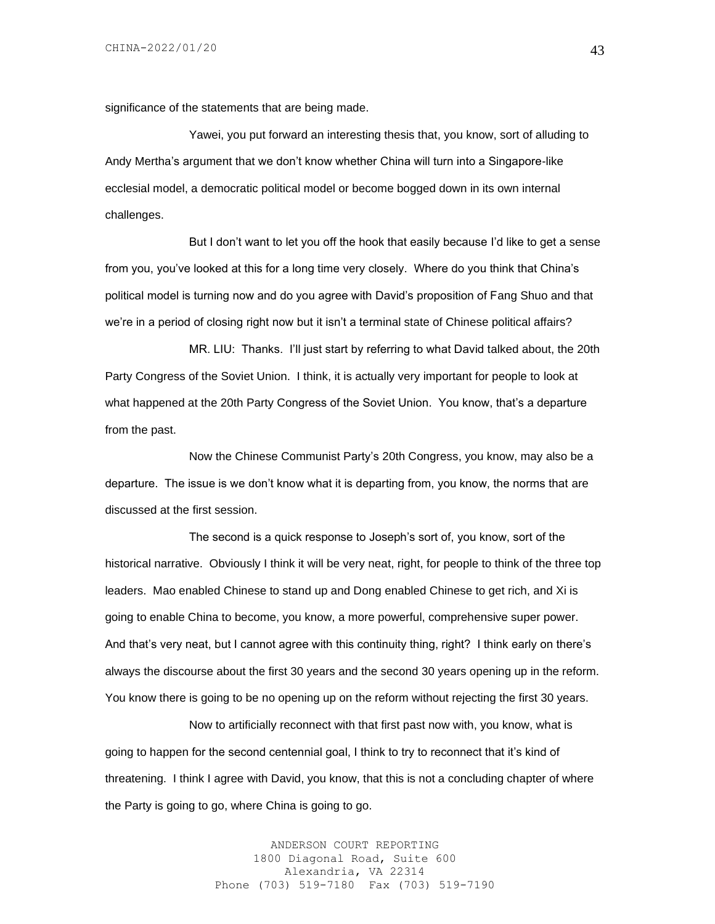significance of the statements that are being made.

Yawei, you put forward an interesting thesis that, you know, sort of alluding to Andy Mertha's argument that we don't know whether China will turn into a Singapore-like ecclesial model, a democratic political model or become bogged down in its own internal challenges.

But I don't want to let you off the hook that easily because I'd like to get a sense from you, you've looked at this for a long time very closely. Where do you think that China's political model is turning now and do you agree with David's proposition of Fang Shuo and that we're in a period of closing right now but it isn't a terminal state of Chinese political affairs?

MR. LIU: Thanks. I'll just start by referring to what David talked about, the 20th Party Congress of the Soviet Union. I think, it is actually very important for people to look at what happened at the 20th Party Congress of the Soviet Union. You know, that's a departure from the past.

Now the Chinese Communist Party's 20th Congress, you know, may also be a departure. The issue is we don't know what it is departing from, you know, the norms that are discussed at the first session.

The second is a quick response to Joseph's sort of, you know, sort of the historical narrative. Obviously I think it will be very neat, right, for people to think of the three top leaders. Mao enabled Chinese to stand up and Dong enabled Chinese to get rich, and Xi is going to enable China to become, you know, a more powerful, comprehensive super power. And that's very neat, but I cannot agree with this continuity thing, right? I think early on there's always the discourse about the first 30 years and the second 30 years opening up in the reform. You know there is going to be no opening up on the reform without rejecting the first 30 years.

Now to artificially reconnect with that first past now with, you know, what is going to happen for the second centennial goal, I think to try to reconnect that it's kind of threatening. I think I agree with David, you know, that this is not a concluding chapter of where the Party is going to go, where China is going to go.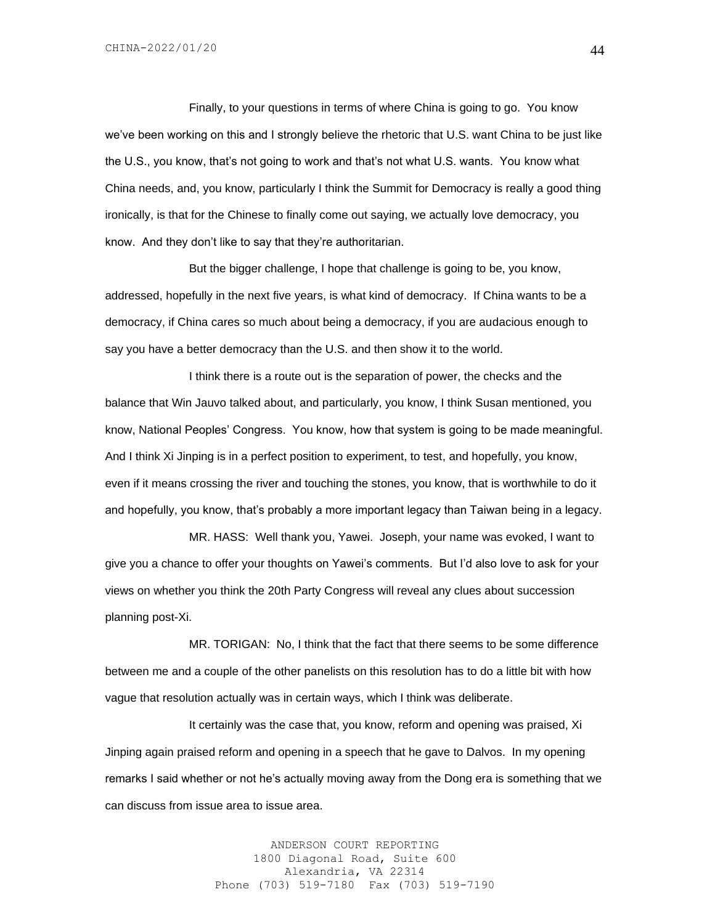Finally, to your questions in terms of where China is going to go. You know we've been working on this and I strongly believe the rhetoric that U.S. want China to be just like the U.S., you know, that's not going to work and that's not what U.S. wants. You know what China needs, and, you know, particularly I think the Summit for Democracy is really a good thing ironically, is that for the Chinese to finally come out saying, we actually love democracy, you know. And they don't like to say that they're authoritarian.

But the bigger challenge, I hope that challenge is going to be, you know, addressed, hopefully in the next five years, is what kind of democracy. If China wants to be a democracy, if China cares so much about being a democracy, if you are audacious enough to say you have a better democracy than the U.S. and then show it to the world.

I think there is a route out is the separation of power, the checks and the balance that Win Jauvo talked about, and particularly, you know, I think Susan mentioned, you know, National Peoples' Congress. You know, how that system is going to be made meaningful. And I think Xi Jinping is in a perfect position to experiment, to test, and hopefully, you know, even if it means crossing the river and touching the stones, you know, that is worthwhile to do it and hopefully, you know, that's probably a more important legacy than Taiwan being in a legacy.

MR. HASS: Well thank you, Yawei. Joseph, your name was evoked, I want to give you a chance to offer your thoughts on Yawei's comments. But I'd also love to ask for your views on whether you think the 20th Party Congress will reveal any clues about succession planning post-Xi.

MR. TORIGAN: No, I think that the fact that there seems to be some difference between me and a couple of the other panelists on this resolution has to do a little bit with how vague that resolution actually was in certain ways, which I think was deliberate.

It certainly was the case that, you know, reform and opening was praised, Xi Jinping again praised reform and opening in a speech that he gave to Dalvos. In my opening remarks I said whether or not he's actually moving away from the Dong era is something that we can discuss from issue area to issue area.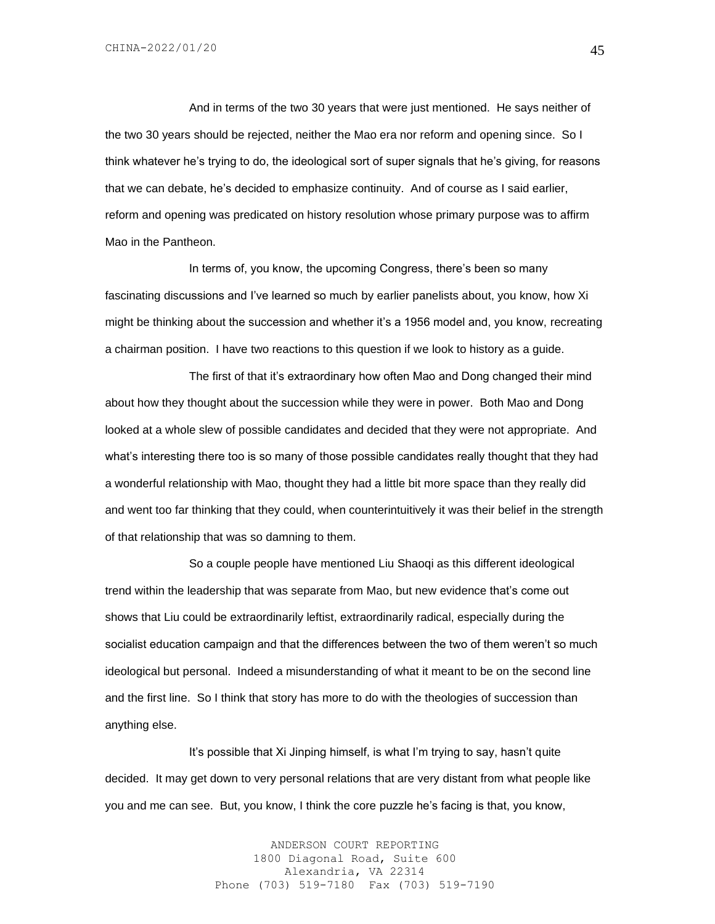And in terms of the two 30 years that were just mentioned. He says neither of the two 30 years should be rejected, neither the Mao era nor reform and opening since. So I think whatever he's trying to do, the ideological sort of super signals that he's giving, for reasons that we can debate, he's decided to emphasize continuity. And of course as I said earlier, reform and opening was predicated on history resolution whose primary purpose was to affirm Mao in the Pantheon.

In terms of, you know, the upcoming Congress, there's been so many fascinating discussions and I've learned so much by earlier panelists about, you know, how Xi might be thinking about the succession and whether it's a 1956 model and, you know, recreating a chairman position. I have two reactions to this question if we look to history as a guide.

The first of that it's extraordinary how often Mao and Dong changed their mind about how they thought about the succession while they were in power. Both Mao and Dong looked at a whole slew of possible candidates and decided that they were not appropriate. And what's interesting there too is so many of those possible candidates really thought that they had a wonderful relationship with Mao, thought they had a little bit more space than they really did and went too far thinking that they could, when counterintuitively it was their belief in the strength of that relationship that was so damning to them.

So a couple people have mentioned Liu Shaoqi as this different ideological trend within the leadership that was separate from Mao, but new evidence that's come out shows that Liu could be extraordinarily leftist, extraordinarily radical, especially during the socialist education campaign and that the differences between the two of them weren't so much ideological but personal. Indeed a misunderstanding of what it meant to be on the second line and the first line. So I think that story has more to do with the theologies of succession than anything else.

It's possible that Xi Jinping himself, is what I'm trying to say, hasn't quite decided. It may get down to very personal relations that are very distant from what people like you and me can see. But, you know, I think the core puzzle he's facing is that, you know,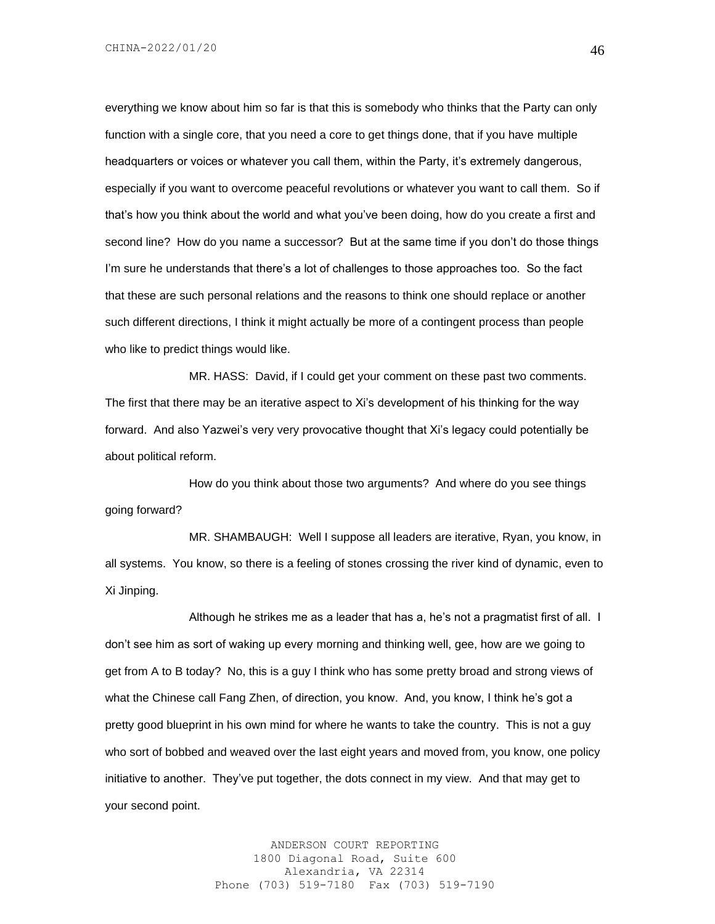everything we know about him so far is that this is somebody who thinks that the Party can only function with a single core, that you need a core to get things done, that if you have multiple headquarters or voices or whatever you call them, within the Party, it's extremely dangerous, especially if you want to overcome peaceful revolutions or whatever you want to call them. So if that's how you think about the world and what you've been doing, how do you create a first and second line? How do you name a successor? But at the same time if you don't do those things I'm sure he understands that there's a lot of challenges to those approaches too. So the fact that these are such personal relations and the reasons to think one should replace or another such different directions, I think it might actually be more of a contingent process than people who like to predict things would like.

MR. HASS: David, if I could get your comment on these past two comments. The first that there may be an iterative aspect to Xi's development of his thinking for the way forward. And also Yazwei's very very provocative thought that Xi's legacy could potentially be about political reform.

How do you think about those two arguments? And where do you see things going forward?

MR. SHAMBAUGH: Well I suppose all leaders are iterative, Ryan, you know, in all systems. You know, so there is a feeling of stones crossing the river kind of dynamic, even to Xi Jinping.

Although he strikes me as a leader that has a, he's not a pragmatist first of all. I don't see him as sort of waking up every morning and thinking well, gee, how are we going to get from A to B today? No, this is a guy I think who has some pretty broad and strong views of what the Chinese call Fang Zhen, of direction, you know. And, you know, I think he's got a pretty good blueprint in his own mind for where he wants to take the country. This is not a guy who sort of bobbed and weaved over the last eight years and moved from, you know, one policy initiative to another. They've put together, the dots connect in my view. And that may get to your second point.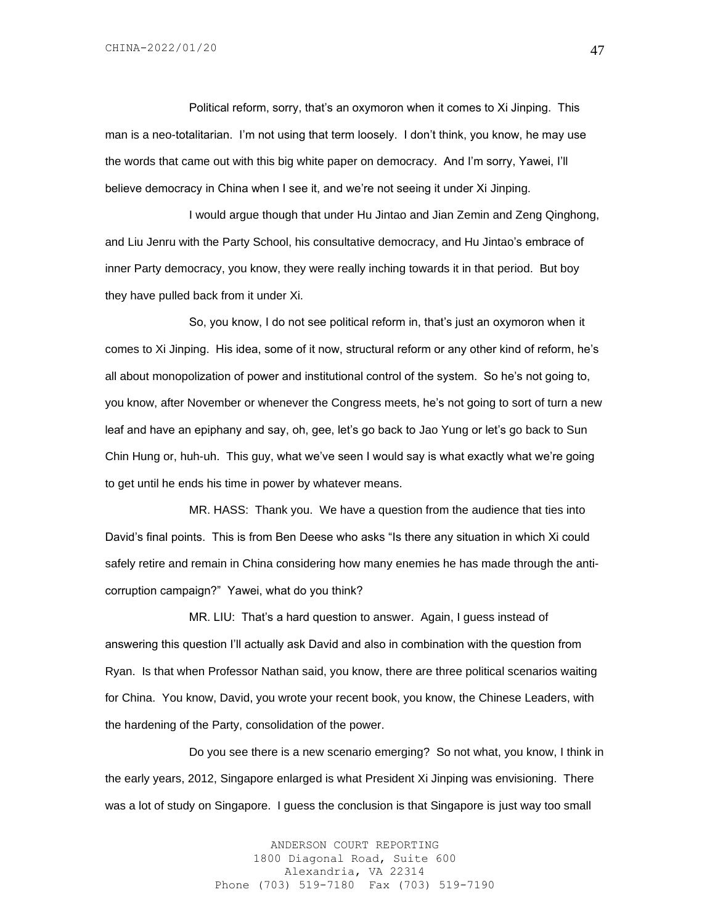Political reform, sorry, that's an oxymoron when it comes to Xi Jinping. This man is a neo-totalitarian. I'm not using that term loosely. I don't think, you know, he may use the words that came out with this big white paper on democracy. And I'm sorry, Yawei, I'll believe democracy in China when I see it, and we're not seeing it under Xi Jinping.

I would argue though that under Hu Jintao and Jian Zemin and Zeng Qinghong, and Liu Jenru with the Party School, his consultative democracy, and Hu Jintao's embrace of inner Party democracy, you know, they were really inching towards it in that period. But boy they have pulled back from it under Xi.

So, you know, I do not see political reform in, that's just an oxymoron when it comes to Xi Jinping. His idea, some of it now, structural reform or any other kind of reform, he's all about monopolization of power and institutional control of the system. So he's not going to, you know, after November or whenever the Congress meets, he's not going to sort of turn a new leaf and have an epiphany and say, oh, gee, let's go back to Jao Yung or let's go back to Sun Chin Hung or, huh-uh. This guy, what we've seen I would say is what exactly what we're going to get until he ends his time in power by whatever means.

MR. HASS: Thank you. We have a question from the audience that ties into David's final points. This is from Ben Deese who asks "Is there any situation in which Xi could safely retire and remain in China considering how many enemies he has made through the anticorruption campaign?" Yawei, what do you think?

MR. LIU: That's a hard question to answer. Again, I guess instead of answering this question I'll actually ask David and also in combination with the question from Ryan. Is that when Professor Nathan said, you know, there are three political scenarios waiting for China. You know, David, you wrote your recent book, you know, the Chinese Leaders, with the hardening of the Party, consolidation of the power.

Do you see there is a new scenario emerging? So not what, you know, I think in the early years, 2012, Singapore enlarged is what President Xi Jinping was envisioning. There was a lot of study on Singapore. I guess the conclusion is that Singapore is just way too small

> ANDERSON COURT REPORTING 1800 Diagonal Road, Suite 600 Alexandria, VA 22314 Phone (703) 519-7180 Fax (703) 519-7190

47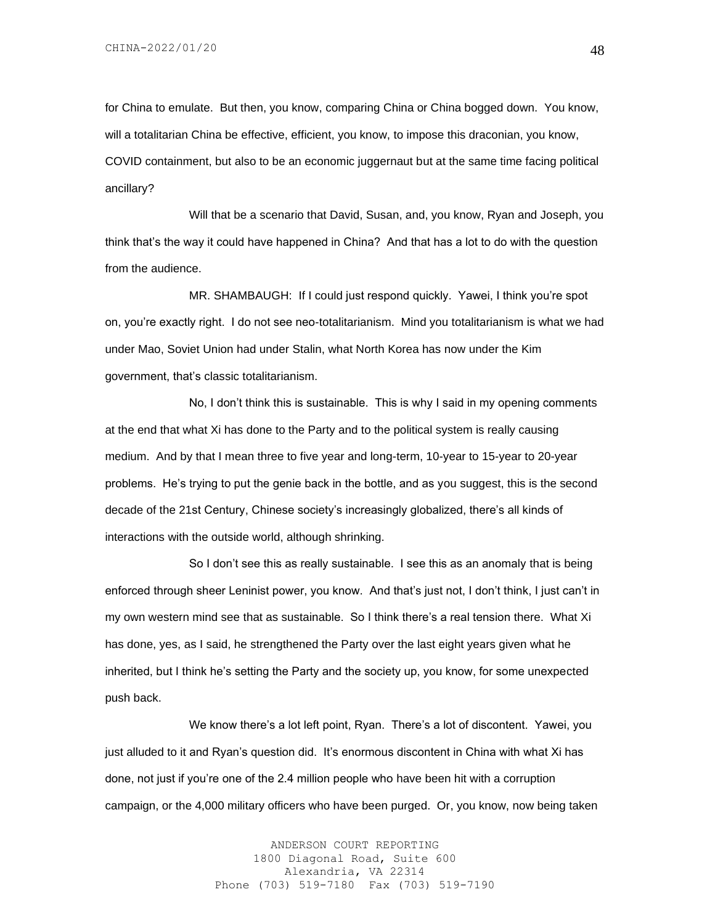for China to emulate. But then, you know, comparing China or China bogged down. You know, will a totalitarian China be effective, efficient, you know, to impose this draconian, you know, COVID containment, but also to be an economic juggernaut but at the same time facing political ancillary?

Will that be a scenario that David, Susan, and, you know, Ryan and Joseph, you think that's the way it could have happened in China? And that has a lot to do with the question from the audience.

MR. SHAMBAUGH: If I could just respond quickly. Yawei, I think you're spot on, you're exactly right. I do not see neo-totalitarianism. Mind you totalitarianism is what we had under Mao, Soviet Union had under Stalin, what North Korea has now under the Kim government, that's classic totalitarianism.

No, I don't think this is sustainable. This is why I said in my opening comments at the end that what Xi has done to the Party and to the political system is really causing medium. And by that I mean three to five year and long-term, 10-year to 15-year to 20-year problems. He's trying to put the genie back in the bottle, and as you suggest, this is the second decade of the 21st Century, Chinese society's increasingly globalized, there's all kinds of interactions with the outside world, although shrinking.

So I don't see this as really sustainable. I see this as an anomaly that is being enforced through sheer Leninist power, you know. And that's just not, I don't think, I just can't in my own western mind see that as sustainable. So I think there's a real tension there. What Xi has done, yes, as I said, he strengthened the Party over the last eight years given what he inherited, but I think he's setting the Party and the society up, you know, for some unexpected push back.

We know there's a lot left point, Ryan. There's a lot of discontent. Yawei, you just alluded to it and Ryan's question did. It's enormous discontent in China with what Xi has done, not just if you're one of the 2.4 million people who have been hit with a corruption campaign, or the 4,000 military officers who have been purged. Or, you know, now being taken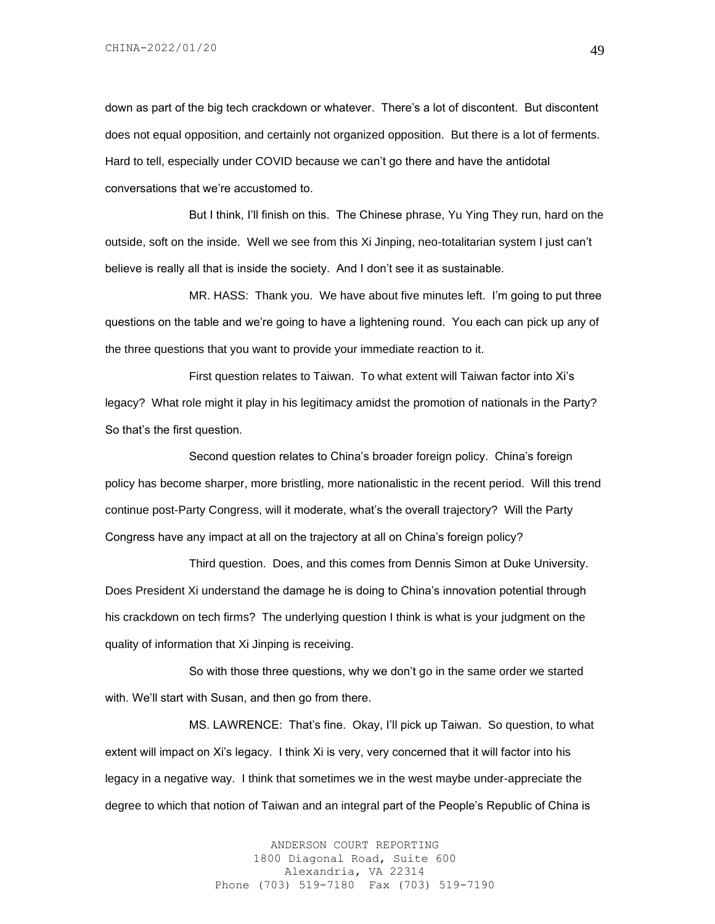down as part of the big tech crackdown or whatever. There's a lot of discontent. But discontent does not equal opposition, and certainly not organized opposition. But there is a lot of ferments. Hard to tell, especially under COVID because we can't go there and have the antidotal conversations that we're accustomed to.

But I think, I'll finish on this. The Chinese phrase, Yu Ying They run, hard on the outside, soft on the inside. Well we see from this Xi Jinping, neo-totalitarian system I just can't believe is really all that is inside the society. And I don't see it as sustainable.

MR. HASS: Thank you. We have about five minutes left. I'm going to put three questions on the table and we're going to have a lightening round. You each can pick up any of the three questions that you want to provide your immediate reaction to it.

First question relates to Taiwan. To what extent will Taiwan factor into Xi's legacy? What role might it play in his legitimacy amidst the promotion of nationals in the Party? So that's the first question.

Second question relates to China's broader foreign policy. China's foreign policy has become sharper, more bristling, more nationalistic in the recent period. Will this trend continue post-Party Congress, will it moderate, what's the overall trajectory? Will the Party Congress have any impact at all on the trajectory at all on China's foreign policy?

Third question. Does, and this comes from Dennis Simon at Duke University. Does President Xi understand the damage he is doing to China's innovation potential through his crackdown on tech firms? The underlying question I think is what is your judgment on the quality of information that Xi Jinping is receiving.

So with those three questions, why we don't go in the same order we started with. We'll start with Susan, and then go from there.

MS. LAWRENCE: That's fine. Okay, I'll pick up Taiwan. So question, to what extent will impact on Xi's legacy. I think Xi is very, very concerned that it will factor into his legacy in a negative way. I think that sometimes we in the west maybe under-appreciate the degree to which that notion of Taiwan and an integral part of the People's Republic of China is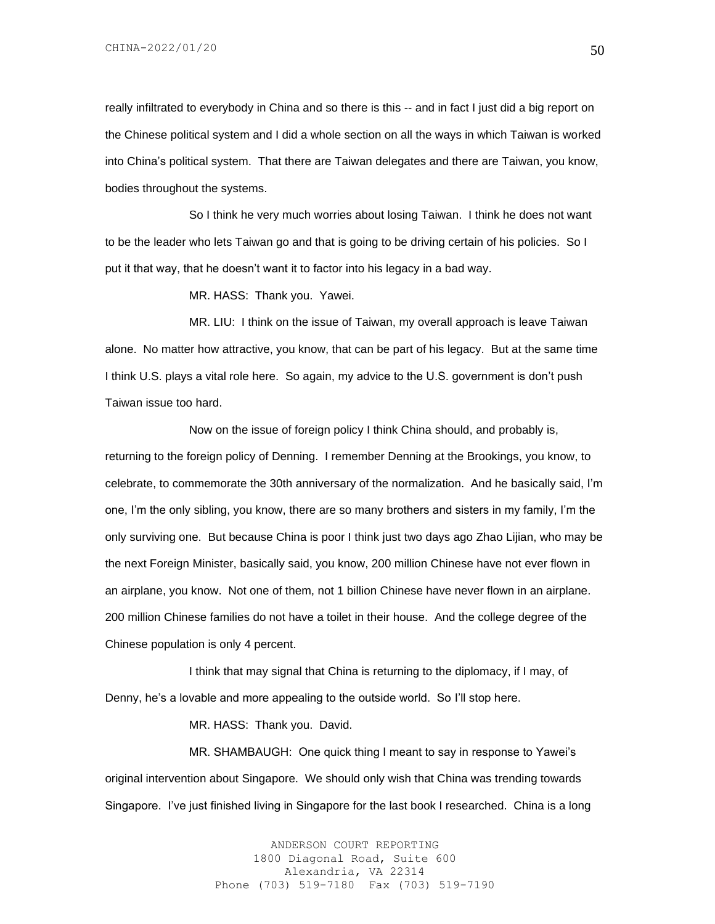really infiltrated to everybody in China and so there is this -- and in fact I just did a big report on the Chinese political system and I did a whole section on all the ways in which Taiwan is worked into China's political system. That there are Taiwan delegates and there are Taiwan, you know, bodies throughout the systems.

So I think he very much worries about losing Taiwan. I think he does not want to be the leader who lets Taiwan go and that is going to be driving certain of his policies. So I put it that way, that he doesn't want it to factor into his legacy in a bad way.

MR. HASS: Thank you. Yawei.

MR. LIU: I think on the issue of Taiwan, my overall approach is leave Taiwan alone. No matter how attractive, you know, that can be part of his legacy. But at the same time I think U.S. plays a vital role here. So again, my advice to the U.S. government is don't push Taiwan issue too hard.

Now on the issue of foreign policy I think China should, and probably is, returning to the foreign policy of Denning. I remember Denning at the Brookings, you know, to celebrate, to commemorate the 30th anniversary of the normalization. And he basically said, I'm one, I'm the only sibling, you know, there are so many brothers and sisters in my family, I'm the only surviving one. But because China is poor I think just two days ago Zhao Lijian, who may be the next Foreign Minister, basically said, you know, 200 million Chinese have not ever flown in an airplane, you know. Not one of them, not 1 billion Chinese have never flown in an airplane. 200 million Chinese families do not have a toilet in their house. And the college degree of the Chinese population is only 4 percent.

I think that may signal that China is returning to the diplomacy, if I may, of Denny, he's a lovable and more appealing to the outside world. So I'll stop here.

MR. HASS: Thank you. David.

MR. SHAMBAUGH: One quick thing I meant to say in response to Yawei's original intervention about Singapore. We should only wish that China was trending towards Singapore. I've just finished living in Singapore for the last book I researched. China is a long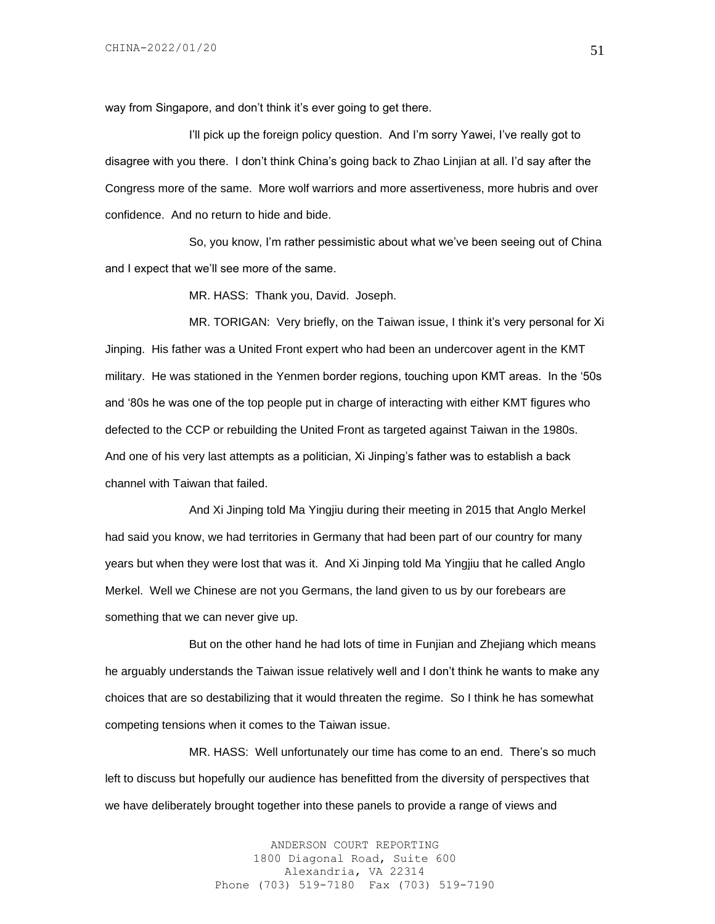way from Singapore, and don't think it's ever going to get there.

I'll pick up the foreign policy question. And I'm sorry Yawei, I've really got to disagree with you there. I don't think China's going back to Zhao Linjian at all. I'd say after the Congress more of the same. More wolf warriors and more assertiveness, more hubris and over confidence. And no return to hide and bide.

So, you know, I'm rather pessimistic about what we've been seeing out of China and I expect that we'll see more of the same.

MR. HASS: Thank you, David. Joseph.

MR. TORIGAN: Very briefly, on the Taiwan issue, I think it's very personal for Xi Jinping. His father was a United Front expert who had been an undercover agent in the KMT military. He was stationed in the Yenmen border regions, touching upon KMT areas. In the '50s and '80s he was one of the top people put in charge of interacting with either KMT figures who defected to the CCP or rebuilding the United Front as targeted against Taiwan in the 1980s. And one of his very last attempts as a politician, Xi Jinping's father was to establish a back channel with Taiwan that failed.

And Xi Jinping told Ma Yingjiu during their meeting in 2015 that Anglo Merkel had said you know, we had territories in Germany that had been part of our country for many years but when they were lost that was it. And Xi Jinping told Ma Yingjiu that he called Anglo Merkel. Well we Chinese are not you Germans, the land given to us by our forebears are something that we can never give up.

But on the other hand he had lots of time in Funjian and Zhejiang which means he arguably understands the Taiwan issue relatively well and I don't think he wants to make any choices that are so destabilizing that it would threaten the regime. So I think he has somewhat competing tensions when it comes to the Taiwan issue.

MR. HASS: Well unfortunately our time has come to an end. There's so much left to discuss but hopefully our audience has benefitted from the diversity of perspectives that we have deliberately brought together into these panels to provide a range of views and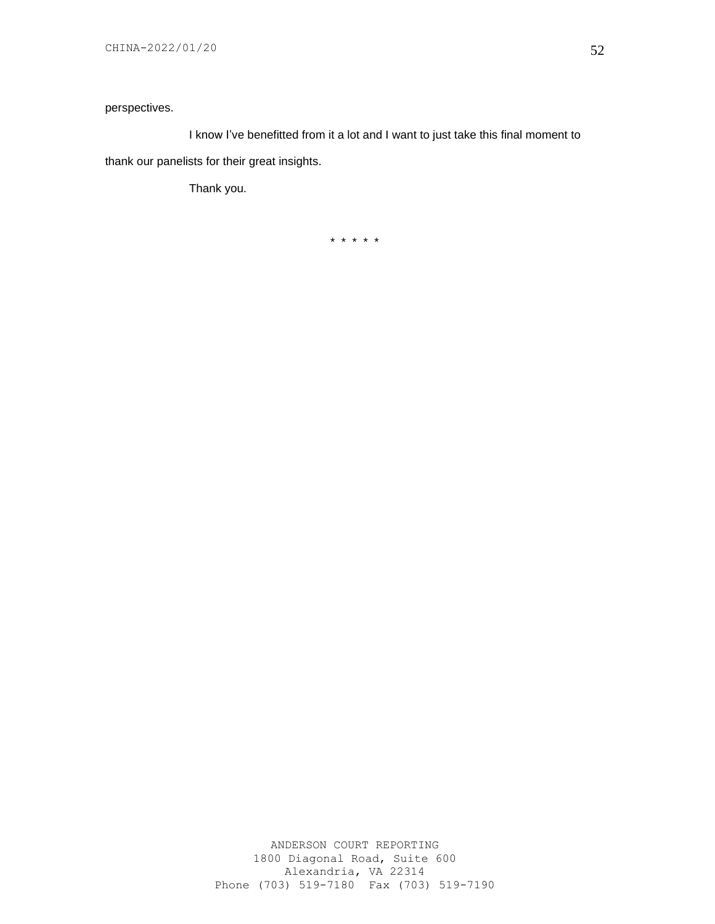# perspectives.

I know I've benefitted from it a lot and I want to just take this final moment to thank our panelists for their great insights.

Thank you.

\* \* \* \* \*